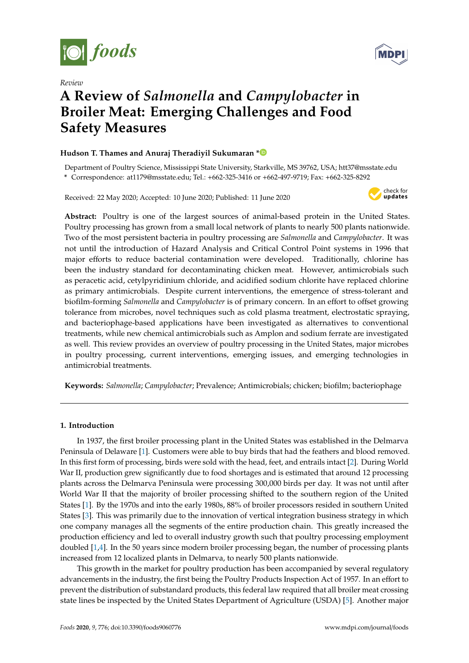





# **A Review of** *Salmonella* **and** *Campylobacter* **in Broiler Meat: Emerging Challenges and Food Safety Measures**

# **Hudson T. Thames and Anuraj Theradiyil Sukumaran [\\*](https://orcid.org/0000-0002-7696-5947)**

Department of Poultry Science, Mississippi State University, Starkville, MS 39762, USA; htt37@msstate.edu **\*** Correspondence: at1179@msstate.edu; Tel.: +662-325-3416 or +662-497-9719; Fax: +662-325-8292

Received: 22 May 2020; Accepted: 10 June 2020; Published: 11 June 2020



**Abstract:** Poultry is one of the largest sources of animal-based protein in the United States. Poultry processing has grown from a small local network of plants to nearly 500 plants nationwide. Two of the most persistent bacteria in poultry processing are *Salmonella* and *Campylobacter*. It was not until the introduction of Hazard Analysis and Critical Control Point systems in 1996 that major efforts to reduce bacterial contamination were developed. Traditionally, chlorine has been the industry standard for decontaminating chicken meat. However, antimicrobials such as peracetic acid, cetylpyridinium chloride, and acidified sodium chlorite have replaced chlorine as primary antimicrobials. Despite current interventions, the emergence of stress-tolerant and biofilm-forming *Salmonella* and *Campylobacter* is of primary concern. In an effort to offset growing tolerance from microbes, novel techniques such as cold plasma treatment, electrostatic spraying, and bacteriophage-based applications have been investigated as alternatives to conventional treatments, while new chemical antimicrobials such as Amplon and sodium ferrate are investigated as well. This review provides an overview of poultry processing in the United States, major microbes in poultry processing, current interventions, emerging issues, and emerging technologies in antimicrobial treatments.

**Keywords:** *Salmonella*; *Campylobacter*; Prevalence; Antimicrobials; chicken; biofilm; bacteriophage

# **1. Introduction**

In 1937, the first broiler processing plant in the United States was established in the Delmarva Peninsula of Delaware [\[1\]](#page-14-0). Customers were able to buy birds that had the feathers and blood removed. In this first form of processing, birds were sold with the head, feet, and entrails intact [\[2\]](#page-14-1). During World War II, production grew significantly due to food shortages and is estimated that around 12 processing plants across the Delmarva Peninsula were processing 300,000 birds per day. It was not until after World War II that the majority of broiler processing shifted to the southern region of the United States [\[1\]](#page-14-0). By the 1970s and into the early 1980s, 88% of broiler processors resided in southern United States [\[3\]](#page-14-2). This was primarily due to the innovation of vertical integration business strategy in which one company manages all the segments of the entire production chain. This greatly increased the production efficiency and led to overall industry growth such that poultry processing employment doubled [\[1,](#page-14-0)[4\]](#page-14-3). In the 50 years since modern broiler processing began, the number of processing plants increased from 12 localized plants in Delmarva, to nearly 500 plants nationwide.

This growth in the market for poultry production has been accompanied by several regulatory advancements in the industry, the first being the Poultry Products Inspection Act of 1957. In an effort to prevent the distribution of substandard products, this federal law required that all broiler meat crossing state lines be inspected by the United States Department of Agriculture (USDA) [\[5\]](#page-14-4). Another major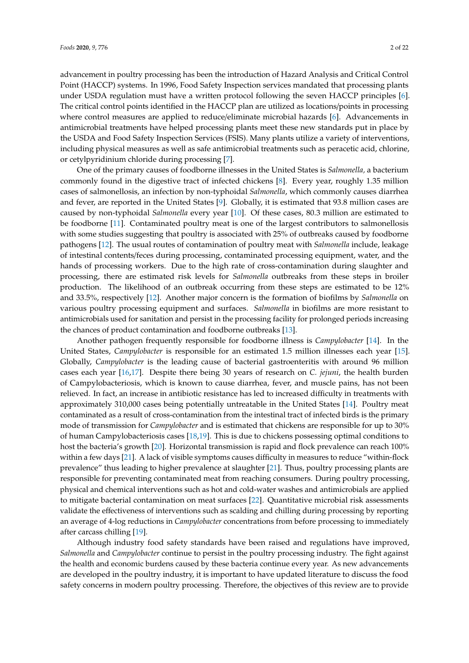advancement in poultry processing has been the introduction of Hazard Analysis and Critical Control Point (HACCP) systems. In 1996, Food Safety Inspection services mandated that processing plants under USDA regulation must have a written protocol following the seven HACCP principles [\[6\]](#page-14-5). The critical control points identified in the HACCP plan are utilized as locations/points in processing where control measures are applied to reduce/eliminate microbial hazards [\[6\]](#page-14-5). Advancements in antimicrobial treatments have helped processing plants meet these new standards put in place by the USDA and Food Safety Inspection Services (FSIS). Many plants utilize a variety of interventions, including physical measures as well as safe antimicrobial treatments such as peracetic acid, chlorine, or cetylpyridinium chloride during processing [\[7\]](#page-14-6).

One of the primary causes of foodborne illnesses in the United States is *Salmonella,* a bacterium commonly found in the digestive tract of infected chickens [\[8\]](#page-15-0). Every year, roughly 1.35 million cases of salmonellosis, an infection by non-typhoidal *Salmonella*, which commonly causes diarrhea and fever, are reported in the United States [\[9\]](#page-15-1). Globally, it is estimated that 93.8 million cases are caused by non-typhoidal *Salmonella* every year [\[10\]](#page-15-2). Of these cases, 80.3 million are estimated to be foodborne [\[11\]](#page-15-3). Contaminated poultry meat is one of the largest contributors to salmonellosis with some studies suggesting that poultry is associated with 25% of outbreaks caused by foodborne pathogens [\[12\]](#page-15-4). The usual routes of contamination of poultry meat with *Salmonella* include, leakage of intestinal contents/feces during processing, contaminated processing equipment, water, and the hands of processing workers. Due to the high rate of cross-contamination during slaughter and processing, there are estimated risk levels for *Salmonella* outbreaks from these steps in broiler production. The likelihood of an outbreak occurring from these steps are estimated to be 12% and 33.5%, respectively [\[12\]](#page-15-4). Another major concern is the formation of biofilms by *Salmonella* on various poultry processing equipment and surfaces. *Salmonella* in biofilms are more resistant to antimicrobials used for sanitation and persist in the processing facility for prolonged periods increasing the chances of product contamination and foodborne outbreaks [\[13\]](#page-15-5).

Another pathogen frequently responsible for foodborne illness is *Campylobacter* [\[14\]](#page-15-6). In the United States, *Campylobacter* is responsible for an estimated 1.5 million illnesses each year [\[15\]](#page-15-7). Globally, *Campylobacter* is the leading cause of bacterial gastroenteritis with around 96 million cases each year [\[16,](#page-15-8)[17\]](#page-15-9). Despite there being 30 years of research on *C. jejuni*, the health burden of Campylobacteriosis, which is known to cause diarrhea, fever, and muscle pains, has not been relieved. In fact, an increase in antibiotic resistance has led to increased difficulty in treatments with approximately 310,000 cases being potentially untreatable in the United States [\[14\]](#page-15-6). Poultry meat contaminated as a result of cross-contamination from the intestinal tract of infected birds is the primary mode of transmission for *Campylobacter* and is estimated that chickens are responsible for up to 30% of human Campylobacteriosis cases [\[18](#page-15-10)[,19\]](#page-15-11). This is due to chickens possessing optimal conditions to host the bacteria's growth [\[20\]](#page-15-12). Horizontal transmission is rapid and flock prevalence can reach 100% within a few days [\[21\]](#page-15-13). A lack of visible symptoms causes difficulty in measures to reduce "within-flock prevalence" thus leading to higher prevalence at slaughter [\[21\]](#page-15-13). Thus, poultry processing plants are responsible for preventing contaminated meat from reaching consumers. During poultry processing, physical and chemical interventions such as hot and cold-water washes and antimicrobials are applied to mitigate bacterial contamination on meat surfaces [\[22\]](#page-15-14). Quantitative microbial risk assessments validate the effectiveness of interventions such as scalding and chilling during processing by reporting an average of 4-log reductions in *Campylobacter* concentrations from before processing to immediately after carcass chilling [\[19\]](#page-15-11).

Although industry food safety standards have been raised and regulations have improved, *Salmonella* and *Campylobacter* continue to persist in the poultry processing industry. The fight against the health and economic burdens caused by these bacteria continue every year. As new advancements are developed in the poultry industry, it is important to have updated literature to discuss the food safety concerns in modern poultry processing. Therefore, the objectives of this review are to provide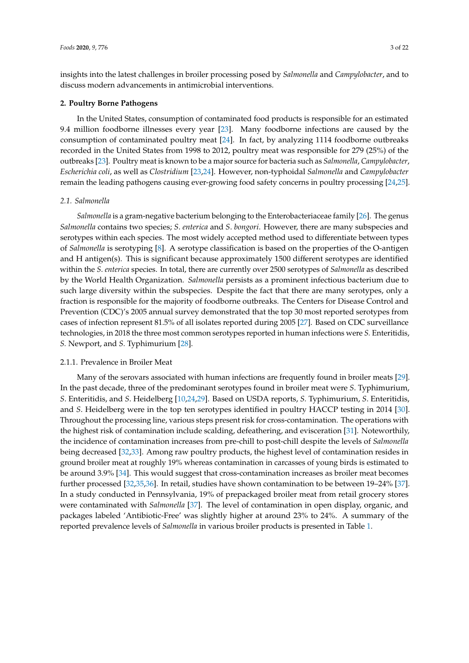insights into the latest challenges in broiler processing posed by *Salmonella* and *Campylobacter*, and to discuss modern advancements in antimicrobial interventions.

## **2. Poultry Borne Pathogens**

In the United States, consumption of contaminated food products is responsible for an estimated 9.4 million foodborne illnesses every year [\[23\]](#page-15-15). Many foodborne infections are caused by the consumption of contaminated poultry meat [\[24\]](#page-15-16). In fact, by analyzing 1114 foodborne outbreaks recorded in the United States from 1998 to 2012, poultry meat was responsible for 279 (25%) of the outbreaks [\[23\]](#page-15-15). Poultry meat is known to be a major source for bacteria such as *Salmonella*, *Campylobacter*, *Escherichia coli*, as well as *Clostridium* [\[23](#page-15-15)[,24\]](#page-15-16). However, non-typhoidal *Salmonella* and *Campylobacter* remain the leading pathogens causing ever-growing food safety concerns in poultry processing [\[24](#page-15-16)[,25\]](#page-15-17).

## *2.1. Salmonella*

*Salmonella* is a gram-negative bacterium belonging to the Enterobacteriaceae family [\[26\]](#page-15-18). The genus *Salmonella* contains two species; *S*. *enterica* and *S*. *bongori*. However, there are many subspecies and serotypes within each species. The most widely accepted method used to differentiate between types of *Salmonella* is serotyping [\[8\]](#page-15-0). A serotype classification is based on the properties of the O-antigen and H antigen(s). This is significant because approximately 1500 different serotypes are identified within the *S*. *enterica* species. In total, there are currently over 2500 serotypes of *Salmonella* as described by the World Health Organization. *Salmonella* persists as a prominent infectious bacterium due to such large diversity within the subspecies. Despite the fact that there are many serotypes, only a fraction is responsible for the majority of foodborne outbreaks. The Centers for Disease Control and Prevention (CDC)'s 2005 annual survey demonstrated that the top 30 most reported serotypes from cases of infection represent 81.5% of all isolates reported during 2005 [\[27\]](#page-15-19). Based on CDC surveillance technologies, in 2018 the three most common serotypes reported in human infections were *S.* Enteritidis, *S.* Newport, and *S.* Typhimurium [\[28\]](#page-15-20).

# 2.1.1. Prevalence in Broiler Meat

Many of the serovars associated with human infections are frequently found in broiler meats [\[29\]](#page-15-21). In the past decade, three of the predominant serotypes found in broiler meat were *S*. Typhimurium, *S*. Enteritidis, and *S*. Heidelberg [\[10](#page-15-2)[,24](#page-15-16)[,29\]](#page-15-21). Based on USDA reports, *S.* Typhimurium, *S*. Enteritidis, and *S*. Heidelberg were in the top ten serotypes identified in poultry HACCP testing in 2014 [\[30\]](#page-15-22). Throughout the processing line, various steps present risk for cross-contamination. The operations with the highest risk of contamination include scalding, defeathering, and evisceration [\[31\]](#page-16-0). Noteworthily, the incidence of contamination increases from pre-chill to post-chill despite the levels of *Salmonella* being decreased [\[32,](#page-16-1)[33\]](#page-16-2). Among raw poultry products, the highest level of contamination resides in ground broiler meat at roughly 19% whereas contamination in carcasses of young birds is estimated to be around 3.9% [\[34\]](#page-16-3). This would suggest that cross-contamination increases as broiler meat becomes further processed [\[32,](#page-16-1)[35,](#page-16-4)[36\]](#page-16-5). In retail, studies have shown contamination to be between 19–24% [\[37\]](#page-16-6). In a study conducted in Pennsylvania, 19% of prepackaged broiler meat from retail grocery stores were contaminated with *Salmonella* [\[37\]](#page-16-6). The level of contamination in open display, organic, and packages labeled 'Antibiotic-Free' was slightly higher at around 23% to 24%. A summary of the reported prevalence levels of *Salmonella* in various broiler products is presented in Table [1.](#page-3-0)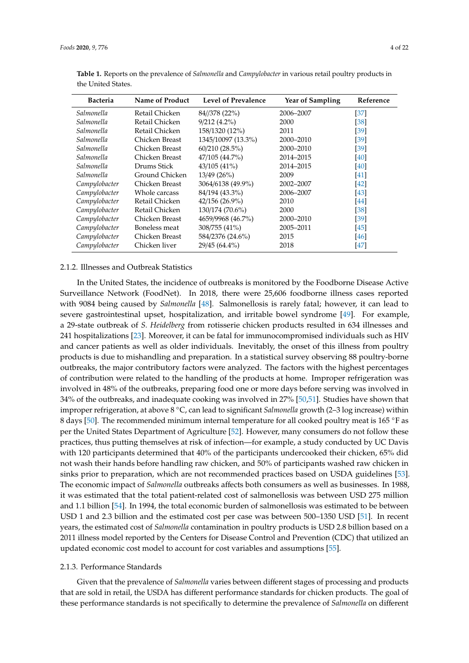| <b>Bacteria</b> | Name of Product | <b>Level of Prevalence</b> | <b>Year of Sampling</b> | Reference |
|-----------------|-----------------|----------------------------|-------------------------|-----------|
| Salmonella      | Retail Chicken  | 84//378 (22%)              | 2006–2007               | [37]      |
| Salmonella      | Retail Chicken  | $9/212(4.2\%)$             | 2000                    | [38]      |
| Salmonella      | Retail Chicken  | 158/1320 (12%)             | 2011                    | [39]      |
| Salmonella      | Chicken Breast  | 1345/10097 (13.3%)         | 2000-2010               | [39]      |
| Salmonella      | Chicken Breast  | 60/210(28.5%)              | 2000-2010               | [39]      |
| Salmonella      | Chicken Breast  | 47/105 (44.7%)             | 2014-2015               | [40]      |
| Salmonella      | Drums Stick     | 43/105(41%)                | 2014-2015               | [40]      |
| Salmonella      | Ground Chicken  | 13/49(26%)                 | 2009                    | [41]      |
| Campylobacter   | Chicken Breast  | 3064/6138 (49.9%)          | 2002-2007               | [42]      |
| Campylobacter   | Whole carcass   | 84/194 (43.3%)             | 2006-2007               | [43]      |
| Campylobacter   | Retail Chicken  | 42/156 (26.9%)             | 2010                    | [44]      |
| Campylobacter   | Retail Chicken  | 130/174 (70.6%)            | 2000                    | [38]      |
| Campylobacter   | Chicken Breast  | 4659/9968 (46.7%)          | 2000-2010               | [39]      |
| Campylobacter   | Boneless meat   | 308/755 (41%)              | 2005-2011               | [45]      |
| Campylobacter   | Chicken Breast  | 584/2376 (24.6%)           | 2015                    | [46]      |
| Campylobacter   | Chicken liver   | 29/45 (64.4%)              | 2018                    | [47]      |

<span id="page-3-0"></span>**Table 1.** Reports on the prevalence of *Salmonella* and *Campylobacter* in various retail poultry products in the United States.

## 2.1.2. Illnesses and Outbreak Statistics

In the United States, the incidence of outbreaks is monitored by the Foodborne Disease Active Surveillance Network (FoodNet). In 2018, there were 25,606 foodborne illness cases reported with 9084 being caused by *Salmonella* [\[48\]](#page-16-17). Salmonellosis is rarely fatal; however, it can lead to severe gastrointestinal upset, hospitalization, and irritable bowel syndrome [\[49\]](#page-16-18). For example, a 29-state outbreak of *S. Heidelberg* from rotisserie chicken products resulted in 634 illnesses and 241 hospitalizations [\[23\]](#page-15-15). Moreover, it can be fatal for immunocompromised individuals such as HIV and cancer patients as well as older individuals. Inevitably, the onset of this illness from poultry products is due to mishandling and preparation. In a statistical survey observing 88 poultry-borne outbreaks, the major contributory factors were analyzed. The factors with the highest percentages of contribution were related to the handling of the products at home. Improper refrigeration was involved in 48% of the outbreaks, preparing food one or more days before serving was involved in 34% of the outbreaks, and inadequate cooking was involved in 27% [\[50](#page-17-0)[,51\]](#page-17-1). Studies have shown that improper refrigeration, at above 8 ◦C, can lead to significant *Salmonella* growth (2–3 log increase) within 8 days [\[50\]](#page-17-0). The recommended minimum internal temperature for all cooked poultry meat is 165 ◦F as per the United States Department of Agriculture [\[52\]](#page-17-2). However, many consumers do not follow these practices, thus putting themselves at risk of infection—for example, a study conducted by UC Davis with 120 participants determined that 40% of the participants undercooked their chicken, 65% did not wash their hands before handling raw chicken, and 50% of participants washed raw chicken in sinks prior to preparation, which are not recommended practices based on USDA guidelines [\[53\]](#page-17-3). The economic impact of *Salmonella* outbreaks affects both consumers as well as businesses. In 1988, it was estimated that the total patient-related cost of salmonellosis was between USD 275 million and 1.1 billion [\[54\]](#page-17-4). In 1994, the total economic burden of salmonellosis was estimated to be between USD 1 and 2.3 billion and the estimated cost per case was between 500–1350 USD [\[51\]](#page-17-1). In recent years, the estimated cost of *Salmonella* contamination in poultry products is USD 2.8 billion based on a 2011 illness model reported by the Centers for Disease Control and Prevention (CDC) that utilized an updated economic cost model to account for cost variables and assumptions [\[55\]](#page-17-5).

# 2.1.3. Performance Standards

Given that the prevalence of *Salmonella* varies between different stages of processing and products that are sold in retail, the USDA has different performance standards for chicken products. The goal of these performance standards is not specifically to determine the prevalence of *Salmonella* on different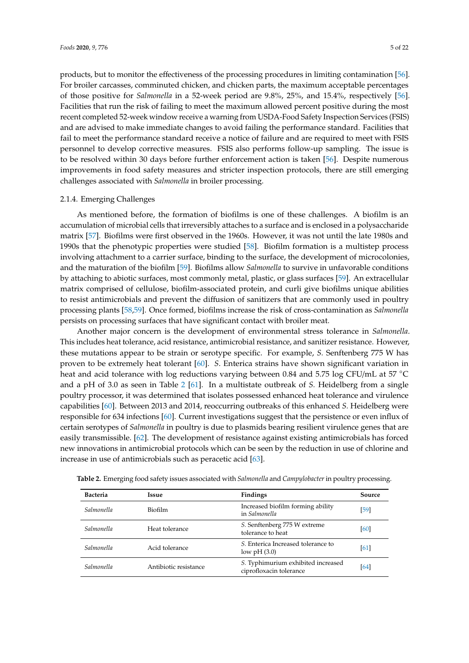products, but to monitor the effectiveness of the processing procedures in limiting contamination [\[56\]](#page-17-6). For broiler carcasses, comminuted chicken, and chicken parts, the maximum acceptable percentages of those positive for *Salmonella* in a 52-week period are 9.8%, 25%, and 15.4%, respectively [\[56\]](#page-17-6). Facilities that run the risk of failing to meet the maximum allowed percent positive during the most recent completed 52-week window receive a warning from USDA-Food Safety Inspection Services (FSIS) and are advised to make immediate changes to avoid failing the performance standard. Facilities that fail to meet the performance standard receive a notice of failure and are required to meet with FSIS personnel to develop corrective measures. FSIS also performs follow-up sampling. The issue is to be resolved within 30 days before further enforcement action is taken [\[56\]](#page-17-6). Despite numerous improvements in food safety measures and stricter inspection protocols, there are still emerging challenges associated with *Salmonella* in broiler processing.

#### 2.1.4. Emerging Challenges

As mentioned before, the formation of biofilms is one of these challenges. A biofilm is an accumulation of microbial cells that irreversibly attaches to a surface and is enclosed in a polysaccharide matrix [\[57\]](#page-17-7). Biofilms were first observed in the 1960s. However, it was not until the late 1980s and 1990s that the phenotypic properties were studied [\[58\]](#page-17-8). Biofilm formation is a multistep process involving attachment to a carrier surface, binding to the surface, the development of microcolonies, and the maturation of the biofilm [\[59\]](#page-17-9). Biofilms allow *Salmonella* to survive in unfavorable conditions by attaching to abiotic surfaces, most commonly metal, plastic, or glass surfaces [\[59\]](#page-17-9). An extracellular matrix comprised of cellulose, biofilm-associated protein, and curli give biofilms unique abilities to resist antimicrobials and prevent the diffusion of sanitizers that are commonly used in poultry processing plants [\[58,](#page-17-8)[59\]](#page-17-9). Once formed, biofilms increase the risk of cross-contamination as *Salmonella* persists on processing surfaces that have significant contact with broiler meat.

Another major concern is the development of environmental stress tolerance in *Salmonella*. This includes heat tolerance, acid resistance, antimicrobial resistance, and sanitizer resistance. However, these mutations appear to be strain or serotype specific. For example, *S.* Senftenberg 775 W has proven to be extremely heat tolerant [\[60\]](#page-17-10). *S*. Enterica strains have shown significant variation in heat and acid tolerance with log reductions varying between 0.84 and 5.75 log CFU/mL at 57 ◦C and a pH of 3.0 as seen in Table [2](#page-5-0) [\[61\]](#page-17-11). In a multistate outbreak of *S.* Heidelberg from a single poultry processor, it was determined that isolates possessed enhanced heat tolerance and virulence capabilities [\[60\]](#page-17-10). Between 2013 and 2014, reoccurring outbreaks of this enhanced *S.* Heidelberg were responsible for 634 infections [\[60\]](#page-17-10). Current investigations suggest that the persistence or even influx of certain serotypes of *Salmonella* in poultry is due to plasmids bearing resilient virulence genes that are easily transmissible. [\[62\]](#page-17-12). The development of resistance against existing antimicrobials has forced new innovations in antimicrobial protocols which can be seen by the reduction in use of chlorine and increase in use of antimicrobials such as peracetic acid [\[63\]](#page-17-13).

| <b>Bacteria</b>   | Issue                 | <b>Findings</b>                                               | Source |
|-------------------|-----------------------|---------------------------------------------------------------|--------|
| <i>Salmonella</i> | <b>Biofilm</b>        | Increased biofilm forming ability<br>in Salmonella            | [59]   |
| <i>Salmonella</i> | Heat tolerance        | S. Senftenberg 775 W extreme<br>tolerance to heat             | [60]   |
| Salmonella        | Acid tolerance        | S. Enterica Increased tolerance to<br>low $pH(3.0)$           | [61]   |
| <i>Salmonella</i> | Antibiotic resistance | S. Typhimurium exhibited increased<br>ciprofloxacin tolerance | [64]   |

**Table 2.** Emerging food safety issues associated with *Salmonella* and *Campylobacter*in poultry processing.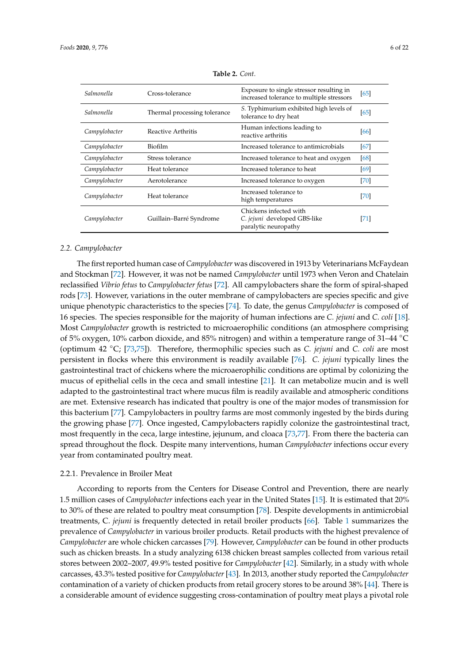<span id="page-5-0"></span>

| Salmonella    | Cross-tolerance              | Exposure to single stressor resulting in<br>increased tolerance to multiple stressors | [65] |
|---------------|------------------------------|---------------------------------------------------------------------------------------|------|
| Salmonella    | Thermal processing tolerance | S. Typhimurium exhibited high levels of<br>tolerance to dry heat                      | [65] |
| Campylobacter | Reactive Arthritis           | Human infections leading to<br>reactive arthritis                                     | [66] |
| Campylobacter | <b>Biofilm</b>               | Increased tolerance to antimicrobials                                                 | [67] |
| Campylobacter | Stress tolerance             | Increased tolerance to heat and oxygen                                                | [68] |
| Campylobacter | Heat tolerance               | Increased tolerance to heat                                                           | [69] |
| Campylobacter | Aerotolerance                | Increased tolerance to oxygen                                                         | [70] |
| Campylobacter | Heat tolerance               | Increased tolerance to<br>high temperatures                                           | [70] |
| Campylobacter | Guillain-Barré Syndrome      | Chickens infected with<br>C. jejuni developed GBS-like<br>paralytic neuropathy        | [71] |

**Table 2.** *Cont.*

## *2.2. Campylobacter*

The first reported human case of *Campylobacter* was discovered in 1913 by Veterinarians McFaydean and Stockman [\[72\]](#page-18-2). However, it was not be named *Campylobacter* until 1973 when Veron and Chatelain reclassified *Vibrio fetus* to *Campylobacter fetus* [\[72\]](#page-18-2). All campylobacters share the form of spiral-shaped rods [\[73\]](#page-18-3). However, variations in the outer membrane of campylobacters are species specific and give unique phenotypic characteristics to the species [\[74\]](#page-18-4). To date, the genus *Campylobacter* is composed of 16 species. The species responsible for the majority of human infections are *C. jejuni* and *C. coli* [\[18\]](#page-15-10). Most *Campylobacter* growth is restricted to microaerophilic conditions (an atmosphere comprising of 5% oxygen, 10% carbon dioxide, and 85% nitrogen) and within a temperature range of 31–44 ◦C (optimum 42 ◦C; [\[73](#page-18-3)[,75\]](#page-18-5)). Therefore, thermophilic species such as *C. jejuni* and *C. coli* are most persistent in flocks where this environment is readily available [\[76\]](#page-18-6). *C. jejuni* typically lines the gastrointestinal tract of chickens where the microaerophilic conditions are optimal by colonizing the mucus of epithelial cells in the ceca and small intestine [\[21\]](#page-15-13). It can metabolize mucin and is well adapted to the gastrointestinal tract where mucus film is readily available and atmospheric conditions are met. Extensive research has indicated that poultry is one of the major modes of transmission for this bacterium [\[77\]](#page-18-7). Campylobacters in poultry farms are most commonly ingested by the birds during the growing phase [\[77\]](#page-18-7). Once ingested, Campylobacters rapidly colonize the gastrointestinal tract, most frequently in the ceca, large intestine, jejunum, and cloaca [\[73,](#page-18-3)[77\]](#page-18-7). From there the bacteria can spread throughout the flock. Despite many interventions, human *Campylobacter* infections occur every year from contaminated poultry meat.

# 2.2.1. Prevalence in Broiler Meat

According to reports from the Centers for Disease Control and Prevention, there are nearly 1.5 million cases of *Campylobacter* infections each year in the United States [\[15\]](#page-15-7). It is estimated that 20% to 30% of these are related to poultry meat consumption [\[78\]](#page-18-8). Despite developments in antimicrobial treatments, C. *jejuni* is frequently detected in retail broiler products [\[66\]](#page-17-16). Table [1](#page-3-0) summarizes the prevalence of *Campylobacter* in various broiler products. Retail products with the highest prevalence of *Campylobacter* are whole chicken carcasses [\[79\]](#page-18-9). However, *Campylobacter* can be found in other products such as chicken breasts. In a study analyzing 6138 chicken breast samples collected from various retail stores between 2002–2007, 49.9% tested positive for *Campylobacter* [\[42\]](#page-16-11). Similarly, in a study with whole carcasses, 43.3% tested positive for *Campylobacter*[\[43\]](#page-16-12). In 2013, another study reported the *Campylobacter* contamination of a variety of chicken products from retail grocery stores to be around 38% [\[44\]](#page-16-13). There is a considerable amount of evidence suggesting cross-contamination of poultry meat plays a pivotal role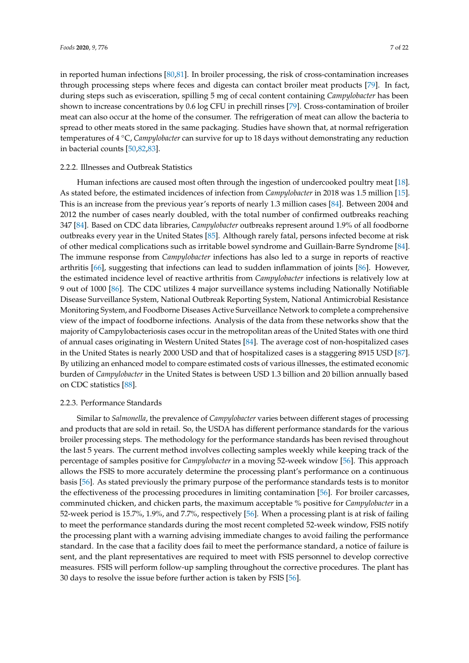in reported human infections [\[80,](#page-18-10)[81\]](#page-18-11). In broiler processing, the risk of cross-contamination increases through processing steps where feces and digesta can contact broiler meat products [\[79\]](#page-18-9). In fact, during steps such as evisceration, spilling 5 mg of cecal content containing *Campylobacter* has been shown to increase concentrations by 0.6 log CFU in prechill rinses [\[79\]](#page-18-9). Cross-contamination of broiler meat can also occur at the home of the consumer. The refrigeration of meat can allow the bacteria to spread to other meats stored in the same packaging. Studies have shown that, at normal refrigeration temperatures of 4 ◦C, *Campylobacter* can survive for up to 18 days without demonstrating any reduction in bacterial counts [\[50](#page-17-0)[,82,](#page-18-12)[83\]](#page-18-13).

# 2.2.2. Illnesses and Outbreak Statistics

Human infections are caused most often through the ingestion of undercooked poultry meat [\[18\]](#page-15-10). As stated before, the estimated incidences of infection from *Campylobacter* in 2018 was 1.5 million [\[15\]](#page-15-7). This is an increase from the previous year's reports of nearly 1.3 million cases [\[84\]](#page-18-14). Between 2004 and 2012 the number of cases nearly doubled, with the total number of confirmed outbreaks reaching 347 [\[84\]](#page-18-14). Based on CDC data libraries, *Campylobacter* outbreaks represent around 1.9% of all foodborne outbreaks every year in the United States [\[85\]](#page-18-15). Although rarely fatal, persons infected become at risk of other medical complications such as irritable bowel syndrome and Guillain-Barre Syndrome [\[84\]](#page-18-14). The immune response from *Campylobacter* infections has also led to a surge in reports of reactive arthritis [\[66\]](#page-17-16), suggesting that infections can lead to sudden inflammation of joints [\[86\]](#page-18-16). However, the estimated incidence level of reactive arthritis from *Campylobacter* infections is relatively low at 9 out of 1000 [\[86\]](#page-18-16). The CDC utilizes 4 major surveillance systems including Nationally Notifiable Disease Surveillance System, National Outbreak Reporting System, National Antimicrobial Resistance Monitoring System, and Foodborne Diseases Active Surveillance Network to complete a comprehensive view of the impact of foodborne infections. Analysis of the data from these networks show that the majority of Campylobacteriosis cases occur in the metropolitan areas of the United States with one third of annual cases originating in Western United States [\[84\]](#page-18-14). The average cost of non-hospitalized cases in the United States is nearly 2000 USD and that of hospitalized cases is a staggering 8915 USD [\[87\]](#page-18-17). By utilizing an enhanced model to compare estimated costs of various illnesses, the estimated economic burden of *Campylobacter* in the United States is between USD 1.3 billion and 20 billion annually based on CDC statistics [\[88\]](#page-18-18).

# 2.2.3. Performance Standards

Similar to *Salmonella*, the prevalence of *Campylobacter* varies between different stages of processing and products that are sold in retail. So, the USDA has different performance standards for the various broiler processing steps. The methodology for the performance standards has been revised throughout the last 5 years. The current method involves collecting samples weekly while keeping track of the percentage of samples positive for *Campylobacter* in a moving 52-week window [\[56\]](#page-17-6). This approach allows the FSIS to more accurately determine the processing plant's performance on a continuous basis [\[56\]](#page-17-6). As stated previously the primary purpose of the performance standards tests is to monitor the effectiveness of the processing procedures in limiting contamination [\[56\]](#page-17-6). For broiler carcasses, comminuted chicken, and chicken parts, the maximum acceptable % positive for *Campylobacter* in a 52-week period is 15.7%, 1.9%, and 7.7%, respectively [\[56\]](#page-17-6). When a processing plant is at risk of failing to meet the performance standards during the most recent completed 52-week window, FSIS notify the processing plant with a warning advising immediate changes to avoid failing the performance standard. In the case that a facility does fail to meet the performance standard, a notice of failure is sent, and the plant representatives are required to meet with FSIS personnel to develop corrective measures. FSIS will perform follow-up sampling throughout the corrective procedures. The plant has 30 days to resolve the issue before further action is taken by FSIS [\[56\]](#page-17-6).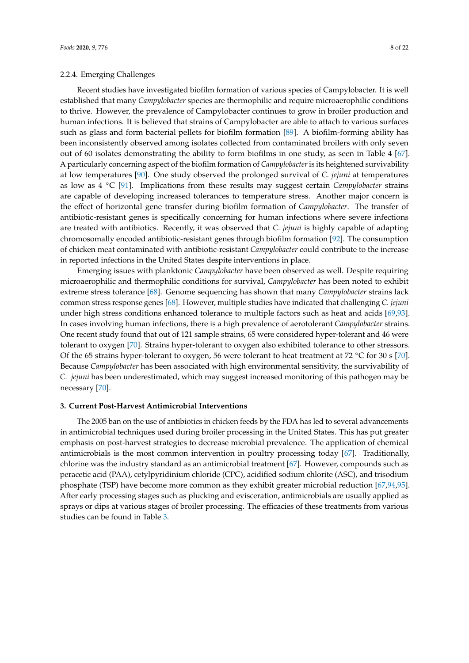# 2.2.4. Emerging Challenges

Recent studies have investigated biofilm formation of various species of Campylobacter. It is well established that many *Campylobacter* species are thermophilic and require microaerophilic conditions to thrive. However, the prevalence of Campylobacter continues to grow in broiler production and human infections. It is believed that strains of Campylobacter are able to attach to various surfaces such as glass and form bacterial pellets for biofilm formation [\[89\]](#page-18-19). A biofilm-forming ability has been inconsistently observed among isolates collected from contaminated broilers with only seven out of 60 isolates demonstrating the ability to form biofilms in one study, as seen in Table 4 [\[67\]](#page-17-17). A particularly concerning aspect of the biofilm formation of *Campylobacter* is its heightened survivability at low temperatures [\[90\]](#page-18-20). One study observed the prolonged survival of *C. jejuni* at temperatures as low as 4 ◦C [\[91\]](#page-18-21). Implications from these results may suggest certain *Campylobacter* strains are capable of developing increased tolerances to temperature stress. Another major concern is the effect of horizontal gene transfer during biofilm formation of *Campylobacter*. The transfer of antibiotic-resistant genes is specifically concerning for human infections where severe infections are treated with antibiotics. Recently, it was observed that *C. jejuni* is highly capable of adapting chromosomally encoded antibiotic-resistant genes through biofilm formation [\[92\]](#page-19-0). The consumption of chicken meat contaminated with antibiotic-resistant *Campylobacter* could contribute to the increase in reported infections in the United States despite interventions in place.

Emerging issues with planktonic *Campylobacter* have been observed as well. Despite requiring microaerophilic and thermophilic conditions for survival, *Campylobacter* has been noted to exhibit extreme stress tolerance [\[68\]](#page-17-18). Genome sequencing has shown that many *Campylobacter* strains lack common stress response genes [\[68\]](#page-17-18). However, multiple studies have indicated that challenging *C. jejuni* under high stress conditions enhanced tolerance to multiple factors such as heat and acids [\[69,](#page-17-19)[93\]](#page-19-1). In cases involving human infections, there is a high prevalence of aerotolerant *Campylobacter* strains. One recent study found that out of 121 sample strains, 65 were considered hyper-tolerant and 46 were tolerant to oxygen [\[70\]](#page-18-0). Strains hyper-tolerant to oxygen also exhibited tolerance to other stressors. Of the 65 strains hyper-tolerant to oxygen, 56 were tolerant to heat treatment at 72  $°C$  for 30 s [\[70\]](#page-18-0). Because *Campylobacter* has been associated with high environmental sensitivity, the survivability of *C. jejuni* has been underestimated, which may suggest increased monitoring of this pathogen may be necessary [\[70\]](#page-18-0).

#### **3. Current Post-Harvest Antimicrobial Interventions**

The 2005 ban on the use of antibiotics in chicken feeds by the FDA has led to several advancements in antimicrobial techniques used during broiler processing in the United States. This has put greater emphasis on post-harvest strategies to decrease microbial prevalence. The application of chemical antimicrobials is the most common intervention in poultry processing today [\[67\]](#page-17-17). Traditionally, chlorine was the industry standard as an antimicrobial treatment [\[67\]](#page-17-17). However, compounds such as peracetic acid (PAA), cetylpyridinium chloride (CPC), acidified sodium chlorite (ASC), and trisodium phosphate (TSP) have become more common as they exhibit greater microbial reduction [\[67,](#page-17-17)[94,](#page-19-2)[95\]](#page-19-3). After early processing stages such as plucking and evisceration, antimicrobials are usually applied as sprays or dips at various stages of broiler processing. The efficacies of these treatments from various studies can be found in Table [3.](#page-8-0)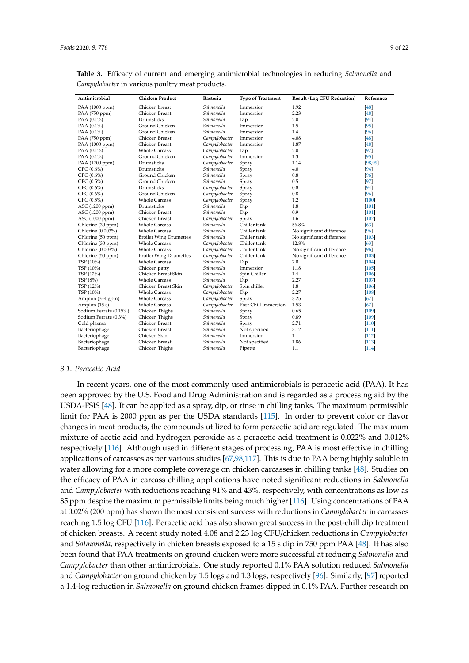| Antimicrobial          | <b>Chicken Product</b>        | <b>Bacteria</b> | <b>Type of Treatment</b> | <b>Result (Log CFU Reduction)</b> | Reference |
|------------------------|-------------------------------|-----------------|--------------------------|-----------------------------------|-----------|
| PAA (1000 ppm)         | Chicken breast                | Salmonella      | Immersion                | 1.92                              | [48]      |
| PAA (750 ppm)          | Chicken Breast                | Salmonella      | Immersion                | 2.23                              | [48]      |
| PAA $(0.1\%)$          | Drumsticks                    | Salmonella      | Dip                      | 2.0                               | [94]      |
| PAA $(0.1\%)$          | Ground Chicken                | Salmonella      | Immersion                | 1.5                               | $[95]$    |
| PAA (0.1%)             | Ground Chicken                | Salmonella      | Immersion                | 1.4                               | [96]      |
| PAA (750 ppm)          | Chicken Breast                | Campylobacter   | Immersion                | 4.08                              | [48]      |
| PAA (1000 ppm)         | Chicken Breast                | Campylobacter   | Immersion                | 1.87                              | [48]      |
| PAA (0.1%)             | <b>Whole Carcass</b>          | Campylobacter   | Dip                      | 2.0                               | $[97]$    |
| PAA $(0.1\%)$          | Ground Chicken                | Campylobacter   | Immersion                | 1.3                               | $[95]$    |
| PAA (1200 ppm)         | Drumsticks                    | Campylobacter   | Spray                    | 1.14                              | [98, 99]  |
| $CPC (0.6\%)$          | Drumsticks                    | Salmonella      | Spray                    | 4.0                               | $[94]$    |
| $CPC (0.6\%)$          | Ground Chicken                | Salmonella      | Spray                    | 0.8                               | [96]      |
| CPC(0.5%)              | Ground Chicken                | Salmonella      | Spray                    | 0.5                               | $[97]$    |
| $CPC (0.6\%)$          | Drumsticks                    | Campylobacter   | Spray                    | 0.8                               | [94]      |
| $CPC (0.6\%)$          | Ground Chicken                | Campylobacter   | Spray                    | 0.8                               | [96]      |
| CPC(0.5%)              | <b>Whole Carcass</b>          | Campylobacter   | Spray                    | 1.2                               | [100]     |
| ASC (1200 ppm)         | Drumsticks                    | Salmonella      | Dip                      | 1.8                               | $[101]$   |
| ASC (1200 ppm)         | Chicken Breast                | Salmonella      | Dip                      | 0.9                               | $[101]$   |
| ASC (1000 ppm)         | Chicken Breast                | Campylobacter   | Spray                    | 1.6                               | $[102]$   |
| Chlorine (30 ppm)      | <b>Whole Carcass</b>          | Salmonella      | Chiller tank             | 56.8%                             | [63]      |
| Chlorine (0.003%)      | <b>Whole Carcass</b>          | Salmonella      | Chiller tank             | No significant difference         | [96]      |
| Chlorine (50 ppm)      | <b>Broiler Wing Drumettes</b> | Salmonella      | Chiller tank             | No significant difference         | [103]     |
| Chlorine (30 ppm)      | <b>Whole Carcass</b>          | Campylobacter   | Chiller tank             | 12.8%                             | [63]      |
| Chlorine (0.003%)      | <b>Whole Carcass</b>          | Campylobacter   | Chiller tank             | No significant difference         | [96]      |
| Chlorine (50 ppm)      | <b>Broiler Wing Drumettes</b> | Campylobacter   | Chiller tank             | No significant difference         | [103]     |
| TSP (10%)              | <b>Whole Carcass</b>          | Salmonella      | Dip                      | 2.0                               | $[104]$   |
| TSP (10%)              | Chicken patty                 | Salmonella      | Immersion                | 1.18                              | [105]     |
| TSP (12%)              | Chicken Breast Skin           | Salmonella      | Spin Chiller             | 1.4                               | $[106]$   |
| TSP (8%)               | <b>Whole Carcass</b>          | Salmonella      | Dip                      | 2.27                              | $[107]$   |
| TSP (12%)              | Chicken Breast Skin           | Campylobacter   | Spin chiller             | 1.8                               | $[106]$   |
| TSP (10%)              | <b>Whole Carcass</b>          | Campylobacter   | Dip                      | 2.27                              | $[108]$   |
| Amplon (3–4 gpm)       | <b>Whole Carcass</b>          | Campylobacter   | Spray                    | 3.25                              | [67]      |
| Amplon (15 s)          | <b>Whole Carcass</b>          | Campylobacter   | Post-Chill Immersion     | 1.53                              | [67]      |
| Sodium Ferrate (0.15%) | Chicken Thighs                | Salmonella      | Spray                    | 0.65                              | $[109]$   |
| Sodium Ferrate (0.3%)  | Chicken Thighs                | Salmonella      | Spray                    | 0.89                              | [109]     |
| Cold plasma            | Chicken Breast                | Salmonella      | Spray                    | 2.71                              | $[110]$   |
| Bacteriophage          | Chicken Breast                | Salmonella      | Not specified            | 3.12                              | $[111]$   |
| Bacteriophage          | Chicken Skin                  | Salmonella      | Immersion                | $\mathbf{1}$                      | $[112]$   |
| Bacteriophage          | Chicken Breast                | Salmonella      | Not specified            | 1.86                              | $[113]$   |
| Bacteriophage          | Chicken Thighs                | Salmonella      | Pipette                  | 1.1                               | $[114]$   |

<span id="page-8-0"></span>**Table 3.** Efficacy of current and emerging antimicrobial technologies in reducing *Salmonella* and *Campylobacter* in various poultry meat products.

#### *3.1. Peracetic Acid*

In recent years, one of the most commonly used antimicrobials is peracetic acid (PAA). It has been approved by the U.S. Food and Drug Administration and is regarded as a processing aid by the USDA-FSIS [\[48\]](#page-16-17). It can be applied as a spray, dip, or rinse in chilling tanks. The maximum permissible limit for PAA is 2000 ppm as per the USDA standards [\[115\]](#page-20-4). In order to prevent color or flavor changes in meat products, the compounds utilized to form peracetic acid are regulated. The maximum mixture of acetic acid and hydrogen peroxide as a peracetic acid treatment is 0.022% and 0.012% respectively [\[116\]](#page-20-5). Although used in different stages of processing, PAA is most effective in chilling applications of carcasses as per various studies [\[67](#page-17-17)[,98](#page-19-6)[,117\]](#page-20-6). This is due to PAA being highly soluble in water allowing for a more complete coverage on chicken carcasses in chilling tanks [\[48\]](#page-16-17). Studies on the efficacy of PAA in carcass chilling applications have noted significant reductions in *Salmonella* and *Campylobacter* with reductions reaching 91% and 43%, respectively, with concentrations as low as 85 ppm despite the maximum permissible limits being much higher [\[116\]](#page-20-5). Using concentrations of PAA at 0.02% (200 ppm) has shown the most consistent success with reductions in *Campylobacter* in carcasses reaching 1.5 log CFU [\[116\]](#page-20-5). Peracetic acid has also shown great success in the post-chill dip treatment of chicken breasts. A recent study noted 4.08 and 2.23 log CFU/chicken reductions in *Campylobacter* and *Salmonella,* respectively in chicken breasts exposed to a 15 s dip in 750 ppm PAA [\[48\]](#page-16-17). It has also been found that PAA treatments on ground chicken were more successful at reducing *Salmonella* and *Campylobacter* than other antimicrobials. One study reported 0.1% PAA solution reduced *Salmonella* and *Campylobacter* on ground chicken by 1.5 logs and 1.3 logs, respectively [\[96\]](#page-19-4). Similarly, [\[97\]](#page-19-5) reported a 1.4-log reduction in *Salmonella* on ground chicken frames dipped in 0.1% PAA. Further research on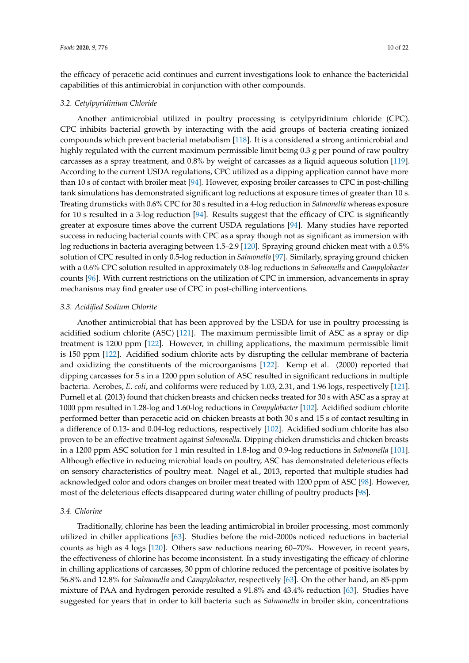the efficacy of peracetic acid continues and current investigations look to enhance the bactericidal capabilities of this antimicrobial in conjunction with other compounds.

#### *3.2. Cetylpyridinium Chloride*

Another antimicrobial utilized in poultry processing is cetylpyridinium chloride (CPC). CPC inhibits bacterial growth by interacting with the acid groups of bacteria creating ionized compounds which prevent bacterial metabolism [\[118\]](#page-20-7). It is a considered a strong antimicrobial and highly regulated with the current maximum permissible limit being 0.3 g per pound of raw poultry carcasses as a spray treatment, and 0.8% by weight of carcasses as a liquid aqueous solution [\[119\]](#page-20-8). According to the current USDA regulations, CPC utilized as a dipping application cannot have more than 10 s of contact with broiler meat [\[94\]](#page-19-2). However, exposing broiler carcasses to CPC in post-chilling tank simulations has demonstrated significant log reductions at exposure times of greater than 10 s. Treating drumsticks with 0.6% CPC for 30 s resulted in a 4-log reduction in *Salmonella* whereas exposure for 10 s resulted in a 3-log reduction [\[94\]](#page-19-2). Results suggest that the efficacy of CPC is significantly greater at exposure times above the current USDA regulations [\[94\]](#page-19-2). Many studies have reported success in reducing bacterial counts with CPC as a spray though not as significant as immersion with log reductions in bacteria averaging between 1.5–2.9 [\[120\]](#page-20-9). Spraying ground chicken meat with a 0.5% solution of CPC resulted in only 0.5-log reduction in *Salmonella* [\[97\]](#page-19-5). Similarly, spraying ground chicken with a 0.6% CPC solution resulted in approximately 0.8-log reductions in *Salmonella* and *Campylobacter* counts [\[96\]](#page-19-4). With current restrictions on the utilization of CPC in immersion, advancements in spray mechanisms may find greater use of CPC in post-chilling interventions.

# *3.3. Acidified Sodium Chlorite*

Another antimicrobial that has been approved by the USDA for use in poultry processing is acidified sodium chlorite (ASC) [\[121\]](#page-20-10). The maximum permissible limit of ASC as a spray or dip treatment is 1200 ppm [\[122\]](#page-20-11). However, in chilling applications, the maximum permissible limit is 150 ppm [\[122\]](#page-20-11). Acidified sodium chlorite acts by disrupting the cellular membrane of bacteria and oxidizing the constituents of the microorganisms [\[122\]](#page-20-11). Kemp et al. (2000) reported that dipping carcasses for 5 s in a 1200 ppm solution of ASC resulted in significant reductions in multiple bacteria. Aerobes, *E. coli*, and coliforms were reduced by 1.03, 2.31, and 1.96 logs, respectively [\[121\]](#page-20-10). Purnell et al. (2013) found that chicken breasts and chicken necks treated for 30 s with ASC as a spray at 1000 ppm resulted in 1.28-log and 1.60-log reductions in *Campylobacter* [\[102\]](#page-19-10). Acidified sodium chlorite performed better than peracetic acid on chicken breasts at both 30 s and 15 s of contact resulting in a difference of 0.13- and 0.04-log reductions, respectively [\[102\]](#page-19-10). Acidified sodium chlorite has also proven to be an effective treatment against *Salmonella*. Dipping chicken drumsticks and chicken breasts in a 1200 ppm ASC solution for 1 min resulted in 1.8-log and 0.9-log reductions in *Salmonella* [\[101\]](#page-19-9). Although effective in reducing microbial loads on poultry, ASC has demonstrated deleterious effects on sensory characteristics of poultry meat. Nagel et al., 2013, reported that multiple studies had acknowledged color and odors changes on broiler meat treated with 1200 ppm of ASC [\[98\]](#page-19-6). However, most of the deleterious effects disappeared during water chilling of poultry products [\[98\]](#page-19-6).

## *3.4. Chlorine*

Traditionally, chlorine has been the leading antimicrobial in broiler processing, most commonly utilized in chiller applications [\[63\]](#page-17-13). Studies before the mid-2000s noticed reductions in bacterial counts as high as 4 logs [\[120\]](#page-20-9). Others saw reductions nearing 60–70%. However, in recent years, the effectiveness of chlorine has become inconsistent. In a study investigating the efficacy of chlorine in chilling applications of carcasses, 30 ppm of chlorine reduced the percentage of positive isolates by 56.8% and 12.8% for *Salmonella* and *Campylobacter,* respectively [\[63\]](#page-17-13). On the other hand, an 85-ppm mixture of PAA and hydrogen peroxide resulted a 91.8% and 43.4% reduction [\[63\]](#page-17-13). Studies have suggested for years that in order to kill bacteria such as *Salmonella* in broiler skin, concentrations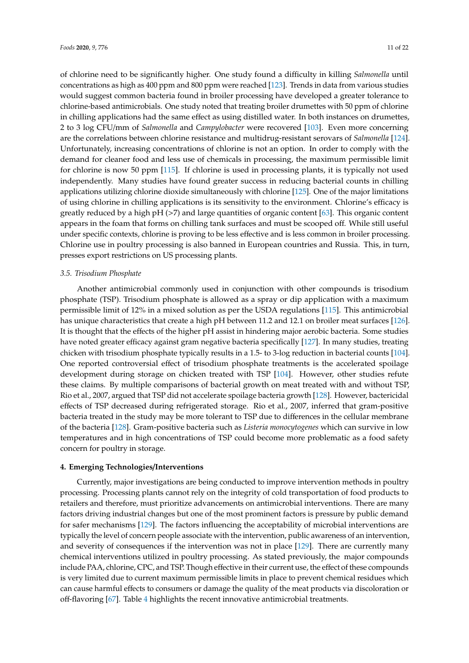of chlorine need to be significantly higher. One study found a difficulty in killing *Salmonella* until concentrations as high as 400 ppm and 800 ppm were reached [\[123\]](#page-20-12). Trends in data from various studies would suggest common bacteria found in broiler processing have developed a greater tolerance to chlorine-based antimicrobials. One study noted that treating broiler drumettes with 50 ppm of chlorine in chilling applications had the same effect as using distilled water. In both instances on drumettes, 2 to 3 log CFU/mm of *Salmonella* and *Campylobacter* were recovered [\[103\]](#page-19-11). Even more concerning are the correlations between chlorine resistance and multidrug-resistant serovars of *Salmonella* [\[124\]](#page-20-13). Unfortunately, increasing concentrations of chlorine is not an option. In order to comply with the demand for cleaner food and less use of chemicals in processing, the maximum permissible limit for chlorine is now 50 ppm [\[115\]](#page-20-4). If chlorine is used in processing plants, it is typically not used independently. Many studies have found greater success in reducing bacterial counts in chilling applications utilizing chlorine dioxide simultaneously with chlorine [\[125\]](#page-20-14). One of the major limitations of using chlorine in chilling applications is its sensitivity to the environment. Chlorine's efficacy is greatly reduced by a high pH  $(>7)$  and large quantities of organic content [\[63\]](#page-17-13). This organic content appears in the foam that forms on chilling tank surfaces and must be scooped off. While still useful under specific contexts, chlorine is proving to be less effective and is less common in broiler processing. Chlorine use in poultry processing is also banned in European countries and Russia. This, in turn, presses export restrictions on US processing plants.

#### *3.5. Trisodium Phosphate*

Another antimicrobial commonly used in conjunction with other compounds is trisodium phosphate (TSP). Trisodium phosphate is allowed as a spray or dip application with a maximum permissible limit of 12% in a mixed solution as per the USDA regulations [\[115\]](#page-20-4). This antimicrobial has unique characteristics that create a high pH between 11.2 and 12.1 on broiler meat surfaces [\[126\]](#page-20-15). It is thought that the effects of the higher pH assist in hindering major aerobic bacteria. Some studies have noted greater efficacy against gram negative bacteria specifically [\[127\]](#page-20-16). In many studies, treating chicken with trisodium phosphate typically results in a 1.5- to 3-log reduction in bacterial counts [\[104\]](#page-19-12). One reported controversial effect of trisodium phosphate treatments is the accelerated spoilage development during storage on chicken treated with TSP [\[104\]](#page-19-12). However, other studies refute these claims. By multiple comparisons of bacterial growth on meat treated with and without TSP, Rio et al., 2007, argued that TSP did not accelerate spoilage bacteria growth [\[128\]](#page-20-17). However, bactericidal effects of TSP decreased during refrigerated storage. Rio et al., 2007, inferred that gram-positive bacteria treated in the study may be more tolerant to TSP due to differences in the cellular membrane of the bacteria [\[128\]](#page-20-17). Gram-positive bacteria such as *Listeria monocytogenes* which can survive in low temperatures and in high concentrations of TSP could become more problematic as a food safety concern for poultry in storage.

#### **4. Emerging Technologies**/**Interventions**

Currently, major investigations are being conducted to improve intervention methods in poultry processing. Processing plants cannot rely on the integrity of cold transportation of food products to retailers and therefore, must prioritize advancements on antimicrobial interventions. There are many factors driving industrial changes but one of the most prominent factors is pressure by public demand for safer mechanisms [\[129\]](#page-20-18). The factors influencing the acceptability of microbial interventions are typically the level of concern people associate with the intervention, public awareness of an intervention, and severity of consequences if the intervention was not in place [\[129\]](#page-20-18). There are currently many chemical interventions utilized in poultry processing. As stated previously, the major compounds include PAA, chlorine, CPC, and TSP. Though effective in their current use, the effect of these compounds is very limited due to current maximum permissible limits in place to prevent chemical residues which can cause harmful effects to consumers or damage the quality of the meat products via discoloration or off-flavoring [\[67\]](#page-17-17). Table [4](#page-11-0) highlights the recent innovative antimicrobial treatments.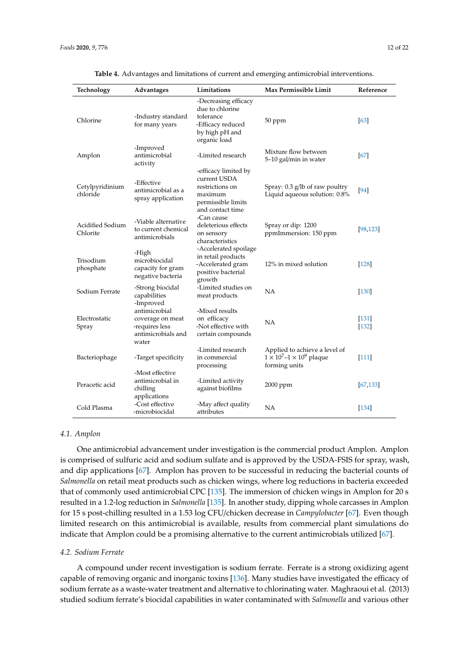<span id="page-11-0"></span>

| Technology                   | Advantages                                                                         | Limitations                                                                                                  | Max Permissible Limit                                                                    | Reference          |
|------------------------------|------------------------------------------------------------------------------------|--------------------------------------------------------------------------------------------------------------|------------------------------------------------------------------------------------------|--------------------|
| Chlorine                     | -Industry standard<br>for many years                                               | -Decreasing efficacy<br>due to chlorine<br>tolerance<br>-Efficacy reduced<br>by high pH and<br>organic load  | 50 ppm                                                                                   | [63]               |
| Amplon                       | -Improved<br>antimicrobial<br>activity                                             | -Limited research                                                                                            | Mixture flow between<br>5-10 gal/min in water                                            | [67]               |
| Cetylpyridinium<br>chloride  | -Effective<br>antimicrobial as a<br>spray application                              | -efficacy limited by<br>current USDA<br>restrictions on<br>maximum<br>permissible limits<br>and contact time | Spray: $0.3$ g/lb of raw poultry<br>Liquid aqueous solution: 0.8%                        | [94]               |
| Acidified Sodium<br>Chlorite | -Viable alternative<br>to current chemical<br>antimicrobials                       | -Can cause<br>deleterious effects<br>on sensory<br>characteristics                                           | Spray or dip: 1200<br>ppmImmersion: 150 ppm                                              | [98, 123]          |
| Trisodium<br>phosphate       | -High<br>microbiocidal<br>capacity for gram<br>negative bacteria                   | -Accelerated spoilage<br>in retail products<br>-Accelerated gram<br>positive bacterial<br>growth             | 12% in mixed solution                                                                    | $[128]$            |
| Sodium Ferrate               | -Strong biocidal<br>capabilities<br>-Improved                                      | -Limited studies on<br>meat products                                                                         | <b>NA</b>                                                                                | $[130]$            |
| Electrostatic<br>Spray       | antimicrobial<br>coverage on meat<br>-requires less<br>antimicrobials and<br>water | -Mixed results<br>on efficacy<br>-Not effective with<br>certain compounds                                    | <b>NA</b>                                                                                | $[131]$<br>$[132]$ |
| Bacteriophage                | -Target specificity                                                                | -Limited research<br>in commercial<br>processing                                                             | Applied to achieve a level of<br>$1 \times 10^7 - 1 \times 10^9$ plaque<br>forming units | $[111]$            |
| Peracetic acid               | -Most effective<br>antimicrobial in<br>chilling<br>applications                    | -Limited activity<br>against biofilms                                                                        | 2000 ppm                                                                                 | [67, 133]          |
| Cold Plasma                  | -Cost effective<br>-microbiocidal                                                  | -May affect quality<br>attributes                                                                            | <b>NA</b>                                                                                | $[134]$            |

**Table 4.** Advantages and limitations of current and emerging antimicrobial interventions.

#### *4.1. Amplon*

One antimicrobial advancement under investigation is the commercial product Amplon. Amplon is comprised of sulfuric acid and sodium sulfate and is approved by the USDA-FSIS for spray, wash, and dip applications [\[67\]](#page-17-17). Amplon has proven to be successful in reducing the bacterial counts of *Salmonella* on retail meat products such as chicken wings, where log reductions in bacteria exceeded that of commonly used antimicrobial CPC [\[135\]](#page-21-4). The immersion of chicken wings in Amplon for 20 s resulted in a 1.2-log reduction in *Salmonella* [\[135\]](#page-21-4). In another study, dipping whole carcasses in Amplon for 15 s post-chilling resulted in a 1.53 log CFU/chicken decrease in *Campylobacter* [\[67\]](#page-17-17). Even though limited research on this antimicrobial is available, results from commercial plant simulations do indicate that Amplon could be a promising alternative to the current antimicrobials utilized [\[67\]](#page-17-17).

## *4.2. Sodium Ferrate*

A compound under recent investigation is sodium ferrate. Ferrate is a strong oxidizing agent capable of removing organic and inorganic toxins [\[136\]](#page-21-5). Many studies have investigated the efficacy of sodium ferrate as a waste-water treatment and alternative to chlorinating water. Maghraoui et al. (2013) studied sodium ferrate's biocidal capabilities in water contaminated with *Salmonella* and various other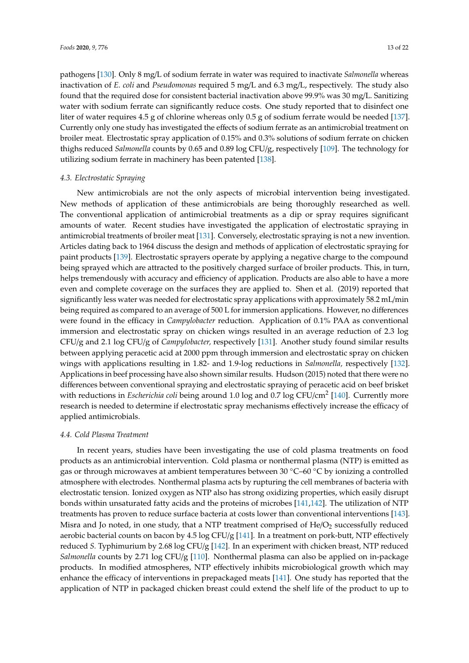pathogens [\[130\]](#page-20-19). Only 8 mg/L of sodium ferrate in water was required to inactivate *Salmonella* whereas inactivation of *E. coli* and *Pseudomonas* required 5 mg/L and 6.3 mg/L, respectively. The study also found that the required dose for consistent bacterial inactivation above 99.9% was 30 mg/L. Sanitizing water with sodium ferrate can significantly reduce costs. One study reported that to disinfect one liter of water requires 4.5 g of chlorine whereas only 0.5 g of sodium ferrate would be needed [\[137\]](#page-21-6). Currently only one study has investigated the effects of sodium ferrate as an antimicrobial treatment on broiler meat. Electrostatic spray application of 0.15% and 0.3% solutions of sodium ferrate on chicken thighs reduced *Salmonella* counts by 0.65 and 0.89 log CFU/g, respectively [\[109\]](#page-19-17). The technology for utilizing sodium ferrate in machinery has been patented [\[138\]](#page-21-7).

## *4.3. Electrostatic Spraying*

New antimicrobials are not the only aspects of microbial intervention being investigated. New methods of application of these antimicrobials are being thoroughly researched as well. The conventional application of antimicrobial treatments as a dip or spray requires significant amounts of water. Recent studies have investigated the application of electrostatic spraying in antimicrobial treatments of broiler meat [\[131\]](#page-21-0). Conversely, electrostatic spraying is not a new invention. Articles dating back to 1964 discuss the design and methods of application of electrostatic spraying for paint products [\[139\]](#page-21-8). Electrostatic sprayers operate by applying a negative charge to the compound being sprayed which are attracted to the positively charged surface of broiler products. This, in turn, helps tremendously with accuracy and efficiency of application. Products are also able to have a more even and complete coverage on the surfaces they are applied to. Shen et al. (2019) reported that significantly less water was needed for electrostatic spray applications with approximately 58.2 mL/min being required as compared to an average of 500 L for immersion applications. However, no differences were found in the efficacy in *Campylobacter* reduction. Application of 0.1% PAA as conventional immersion and electrostatic spray on chicken wings resulted in an average reduction of 2.3 log CFU/g and 2.1 log CFU/g of *Campylobacter,* respectively [\[131\]](#page-21-0). Another study found similar results between applying peracetic acid at 2000 ppm through immersion and electrostatic spray on chicken wings with applications resulting in 1.82- and 1.9-log reductions in *Salmonella,* respectively [\[132\]](#page-21-1). Applications in beef processing have also shown similar results. Hudson (2015) noted that there were no differences between conventional spraying and electrostatic spraying of peracetic acid on beef brisket with reductions in *Escherichia coli* being around 1.0 log and 0.7 log CFU/cm<sup>2</sup> [\[140\]](#page-21-9). Currently more research is needed to determine if electrostatic spray mechanisms effectively increase the efficacy of applied antimicrobials.

#### *4.4. Cold Plasma Treatment*

In recent years, studies have been investigating the use of cold plasma treatments on food products as an antimicrobial intervention. Cold plasma or nonthermal plasma (NTP) is emitted as gas or through microwaves at ambient temperatures between 30 ◦C–60 ◦C by ionizing a controlled atmosphere with electrodes. Nonthermal plasma acts by rupturing the cell membranes of bacteria with electrostatic tension. Ionized oxygen as NTP also has strong oxidizing properties, which easily disrupt bonds within unsaturated fatty acids and the proteins of microbes [\[141](#page-21-10)[,142\]](#page-21-11). The utilization of NTP treatments has proven to reduce surface bacteria at costs lower than conventional interventions [\[143\]](#page-21-12). Misra and Jo noted, in one study, that a NTP treatment comprised of  $He/O<sub>2</sub>$  successfully reduced aerobic bacterial counts on bacon by 4.5 log CFU/g [\[141\]](#page-21-10). In a treatment on pork-butt, NTP effectively reduced *S.* Typhimurium by 2.68 log CFU/g [\[142\]](#page-21-11). In an experiment with chicken breast, NTP reduced *Salmonella* counts by 2.71 log CFU/g [\[110\]](#page-19-18). Nonthermal plasma can also be applied on in-package products. In modified atmospheres, NTP effectively inhibits microbiological growth which may enhance the efficacy of interventions in prepackaged meats [\[141\]](#page-21-10). One study has reported that the application of NTP in packaged chicken breast could extend the shelf life of the product to up to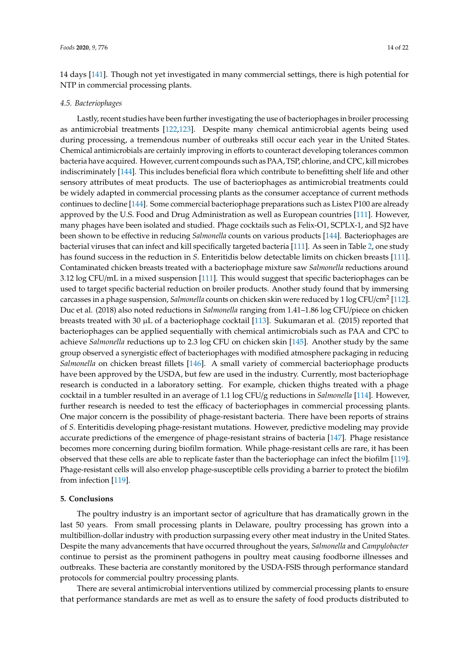14 days [\[141\]](#page-21-10). Though not yet investigated in many commercial settings, there is high potential for NTP in commercial processing plants.

#### *4.5. Bacteriophages*

Lastly, recent studies have been further investigating the use of bacteriophages in broiler processing as antimicrobial treatments [\[122](#page-20-11)[,123\]](#page-20-12). Despite many chemical antimicrobial agents being used during processing, a tremendous number of outbreaks still occur each year in the United States. Chemical antimicrobials are certainly improving in efforts to counteract developing tolerances common bacteria have acquired. However, current compounds such as PAA, TSP, chlorine, and CPC, kill microbes indiscriminately [\[144\]](#page-21-13). This includes beneficial flora which contribute to benefitting shelf life and other sensory attributes of meat products. The use of bacteriophages as antimicrobial treatments could be widely adapted in commercial processing plants as the consumer acceptance of current methods continues to decline [\[144\]](#page-21-13). Some commercial bacteriophage preparations such as Listex P100 are already approved by the U.S. Food and Drug Administration as well as European countries [\[111\]](#page-20-0). However, many phages have been isolated and studied. Phage cocktails such as Felix-O1, SCPLX-1, and SJ2 have been shown to be effective in reducing *Salmonella* counts on various products [\[144\]](#page-21-13). Bacteriophages are bacterial viruses that can infect and kill specifically targeted bacteria [\[111\]](#page-20-0). As seen in Table [2,](#page-5-0) one study has found success in the reduction in *S*. Enteritidis below detectable limits on chicken breasts [\[111\]](#page-20-0). Contaminated chicken breasts treated with a bacteriophage mixture saw *Salmonella* reductions around 3.12 log CFU/mL in a mixed suspension [\[111\]](#page-20-0). This would suggest that specific bacteriophages can be used to target specific bacterial reduction on broiler products. Another study found that by immersing carcasses in a phage suspension, *Salmonella* counts on chicken skin were reduced by 1 log CFU/cm<sup>2</sup> [\[112\]](#page-20-1). Duc et al. (2018) also noted reductions in *Salmonella* ranging from 1.41–1.86 log CFU/piece on chicken breasts treated with 30 µL of a bacteriophage cocktail [\[113\]](#page-20-2). Sukumaran et al. (2015) reported that bacteriophages can be applied sequentially with chemical antimicrobials such as PAA and CPC to achieve *Salmonella* reductions up to 2.3 log CFU on chicken skin [\[145\]](#page-21-14). Another study by the same group observed a synergistic effect of bacteriophages with modified atmosphere packaging in reducing *Salmonella* on chicken breast fillets [\[146\]](#page-21-15). A small variety of commercial bacteriophage products have been approved by the USDA, but few are used in the industry. Currently, most bacteriophage research is conducted in a laboratory setting. For example, chicken thighs treated with a phage cocktail in a tumbler resulted in an average of 1.1 log CFU/g reductions in *Salmonella* [\[114\]](#page-20-3). However, further research is needed to test the efficacy of bacteriophages in commercial processing plants. One major concern is the possibility of phage-resistant bacteria. There have been reports of strains of *S.* Enteritidis developing phage-resistant mutations. However, predictive modeling may provide accurate predictions of the emergence of phage-resistant strains of bacteria [\[147\]](#page-21-16). Phage resistance becomes more concerning during biofilm formation. While phage-resistant cells are rare, it has been observed that these cells are able to replicate faster than the bacteriophage can infect the biofilm [\[119\]](#page-20-8). Phage-resistant cells will also envelop phage-susceptible cells providing a barrier to protect the biofilm from infection [\[119\]](#page-20-8).

#### **5. Conclusions**

The poultry industry is an important sector of agriculture that has dramatically grown in the last 50 years. From small processing plants in Delaware, poultry processing has grown into a multibillion-dollar industry with production surpassing every other meat industry in the United States. Despite the many advancements that have occurred throughout the years, *Salmonella* and *Campylobacter* continue to persist as the prominent pathogens in poultry meat causing foodborne illnesses and outbreaks. These bacteria are constantly monitored by the USDA-FSIS through performance standard protocols for commercial poultry processing plants.

There are several antimicrobial interventions utilized by commercial processing plants to ensure that performance standards are met as well as to ensure the safety of food products distributed to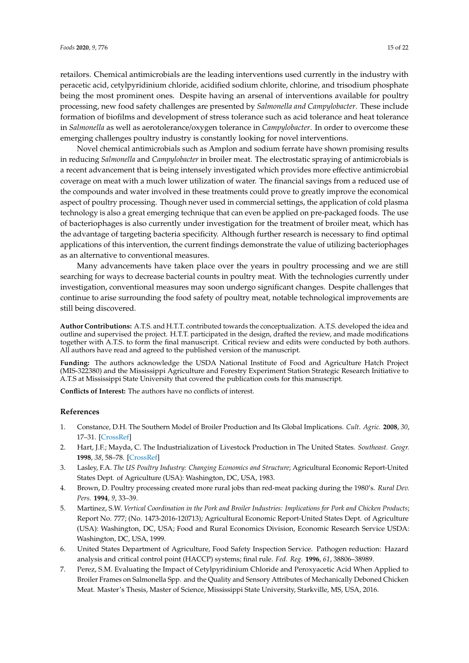retailors. Chemical antimicrobials are the leading interventions used currently in the industry with peracetic acid, cetylpyridinium chloride, acidified sodium chlorite, chlorine, and trisodium phosphate being the most prominent ones. Despite having an arsenal of interventions available for poultry processing, new food safety challenges are presented by *Salmonella and Campylobacter*. These include formation of biofilms and development of stress tolerance such as acid tolerance and heat tolerance in *Salmonella* as well as aerotolerance/oxygen tolerance in *Campylobacter*. In order to overcome these emerging challenges poultry industry is constantly looking for novel interventions.

Novel chemical antimicrobials such as Amplon and sodium ferrate have shown promising results in reducing *Salmonella* and *Campylobacter* in broiler meat. The electrostatic spraying of antimicrobials is a recent advancement that is being intensely investigated which provides more effective antimicrobial coverage on meat with a much lower utilization of water. The financial savings from a reduced use of the compounds and water involved in these treatments could prove to greatly improve the economical aspect of poultry processing. Though never used in commercial settings, the application of cold plasma technology is also a great emerging technique that can even be applied on pre-packaged foods. The use of bacteriophages is also currently under investigation for the treatment of broiler meat, which has the advantage of targeting bacteria specificity. Although further research is necessary to find optimal applications of this intervention, the current findings demonstrate the value of utilizing bacteriophages as an alternative to conventional measures.

Many advancements have taken place over the years in poultry processing and we are still searching for ways to decrease bacterial counts in poultry meat. With the technologies currently under investigation, conventional measures may soon undergo significant changes. Despite challenges that continue to arise surrounding the food safety of poultry meat, notable technological improvements are still being discovered.

**Author Contributions:** A.T.S. and H.T.T. contributed towards the conceptualization. A.T.S. developed the idea and outline and supervised the project. H.T.T. participated in the design, drafted the review, and made modifications together with A.T.S. to form the final manuscript. Critical review and edits were conducted by both authors. All authors have read and agreed to the published version of the manuscript.

**Funding:** The authors acknowledge the USDA National Institute of Food and Agriculture Hatch Project (MIS-322380) and the Mississippi Agriculture and Forestry Experiment Station Strategic Research Initiative to A.T.S at Mississippi State University that covered the publication costs for this manuscript.

**Conflicts of Interest:** The authors have no conflicts of interest.

## **References**

- <span id="page-14-0"></span>1. Constance, D.H. The Southern Model of Broiler Production and Its Global Implications. *Cult. Agric.* **2008**, *30*, 17–31. [\[CrossRef\]](http://dx.doi.org/10.1111/j.1556-486X.2008.00004.x)
- <span id="page-14-1"></span>2. Hart, J.F.; Mayda, C. The Industrialization of Livestock Production in The United States. *Southeast. Geogr.* **1998**, *38*, 58–78. [\[CrossRef\]](http://dx.doi.org/10.1353/sgo.1998.0014)
- <span id="page-14-2"></span>3. Lasley, F.A. *The US Poultry Industry: Changing Economics and Structure*; Agricultural Economic Report-United States Dept. of Agriculture (USA): Washington, DC, USA, 1983.
- <span id="page-14-3"></span>4. Brown, D. Poultry processing created more rural jobs than red-meat packing during the 1980's. *Rural Dev. Pers.* **1994**, *9*, 33–39.
- <span id="page-14-4"></span>5. Martinez, S.W. *Vertical Coordination in the Pork and Broiler Industries: Implications for Pork and Chicken Products*; Report No. 777; (No. 1473-2016-120713); Agricultural Economic Report-United States Dept. of Agriculture (USA): Washington, DC, USA; Food and Rural Economics Division, Economic Research Service USDA: Washington, DC, USA, 1999.
- <span id="page-14-5"></span>6. United States Department of Agriculture, Food Safety Inspection Service. Pathogen reduction: Hazard analysis and critical control point (HACCP) systems; final rule. *Fed. Reg.* **1996**, *61*, 38806–38989.
- <span id="page-14-6"></span>7. Perez, S.M. Evaluating the Impact of Cetylpyridinium Chloride and Peroxyacetic Acid When Applied to Broiler Frames on Salmonella Spp. and the Quality and Sensory Attributes of Mechanically Deboned Chicken Meat. Master's Thesis, Master of Science, Mississippi State University, Starkville, MS, USA, 2016.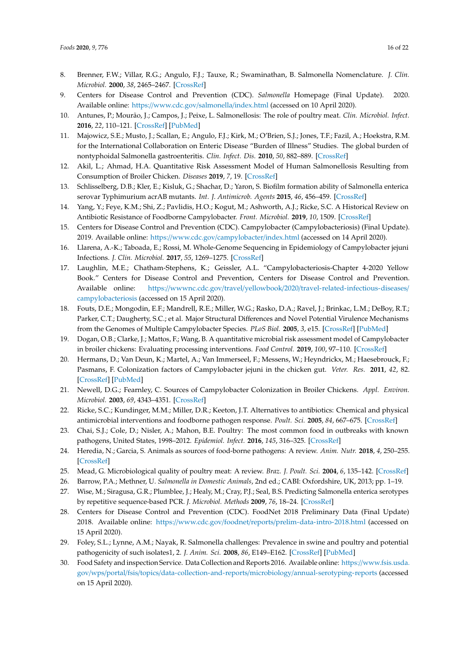- <span id="page-15-0"></span>8. Brenner, F.W.; Villar, R.G.; Angulo, F.J.; Tauxe, R.; Swaminathan, B. Salmonella Nomenclature. *J. Clin. Microbiol.* **2000**, *38*, 2465–2467. [\[CrossRef\]](http://dx.doi.org/10.1128/JCM.38.7.2465-2467.2000)
- <span id="page-15-1"></span>9. Centers for Disease Control and Prevention (CDC). *Salmonella* Homepage (Final Update). 2020. Available online: https://[www.cdc.gov](https://www.cdc.gov/salmonella/index.html)/salmonella/index.html (accessed on 10 April 2020).
- <span id="page-15-2"></span>10. Antunes, P.; Mourão, J.; Campos, J.; Peixe, L. Salmonellosis: The role of poultry meat. *Clin. Microbiol. Infect.* **2016**, *22*, 110–121. [\[CrossRef\]](http://dx.doi.org/10.1016/j.cmi.2015.12.004) [\[PubMed\]](http://www.ncbi.nlm.nih.gov/pubmed/26708671)
- <span id="page-15-3"></span>11. Majowicz, S.E.; Musto, J.; Scallan, E.; Angulo, F.J.; Kirk, M.; O'Brien, S.J.; Jones, T.F.; Fazil, A.; Hoekstra, R.M. for the International Collaboration on Enteric Disease "Burden of Illness" Studies. The global burden of nontyphoidal Salmonella gastroenteritis. *Clin. Infect. Dis.* **2010**, *50*, 882–889. [\[CrossRef\]](http://dx.doi.org/10.1086/650733)
- <span id="page-15-4"></span>12. Akil, L.; Ahmad, H.A. Quantitative Risk Assessment Model of Human Salmonellosis Resulting from Consumption of Broiler Chicken. *Diseases* **2019**, *7*, 19. [\[CrossRef\]](http://dx.doi.org/10.3390/diseases7010019)
- <span id="page-15-5"></span>13. Schlisselberg, D.B.; Kler, E.; Kisluk, G.; Shachar, D.; Yaron, S. Biofilm formation ability of Salmonella enterica serovar Typhimurium acrAB mutants. *Int. J. Antimicrob. Agents* **2015**, *46*, 456–459. [\[CrossRef\]](http://dx.doi.org/10.1016/j.ijantimicag.2015.06.011)
- <span id="page-15-6"></span>14. Yang, Y.; Feye, K.M.; Shi, Z.; Pavlidis, H.O.; Kogut, M.; Ashworth, A.J.; Ricke, S.C. A Historical Review on Antibiotic Resistance of Foodborne Campylobacter. *Front. Microbiol.* **2019**, *10*, 1509. [\[CrossRef\]](http://dx.doi.org/10.3389/fmicb.2019.01509)
- <span id="page-15-7"></span>15. Centers for Disease Control and Prevention (CDC). Campylobacter (Campylobacteriosis) (Final Update). 2019. Available online: https://www.cdc.gov/[campylobacter](https://www.cdc.gov/campylobacter/index.html)/index.html (accessed on 14 April 2020).
- <span id="page-15-8"></span>16. Llarena, A.-K.; Taboada, E.; Rossi, M. Whole-Genome Sequencing in Epidemiology of Campylobacter jejuni Infections. *J. Clin. Microbiol.* **2017**, *55*, 1269–1275. [\[CrossRef\]](http://dx.doi.org/10.1128/JCM.00017-17)
- <span id="page-15-9"></span>17. Laughlin, M.E.; Chatham-Stephens, K.; Geissler, A.L. "Campylobacteriosis-Chapter 4-2020 Yellow Book." Centers for Disease Control and Prevention, Centers for Disease Control and Prevention. Available online: https://wwwnc.cdc.gov/travel/yellowbook/2020/[travel-related-infectious-diseases](https://wwwnc.cdc.gov/travel/yellowbook/2020/travel-related-infectious-diseases/campylobacteriosis)/ [campylobacteriosis](https://wwwnc.cdc.gov/travel/yellowbook/2020/travel-related-infectious-diseases/campylobacteriosis) (accessed on 15 April 2020).
- <span id="page-15-10"></span>18. Fouts, D.E.; Mongodin, E.F.; Mandrell, R.E.; Miller, W.G.; Rasko, D.A.; Ravel, J.; Brinkac, L.M.; DeBoy, R.T.; Parker, C.T.; Daugherty, S.C.; et al. Major Structural Differences and Novel Potential Virulence Mechanisms from the Genomes of Multiple Campylobacter Species. *PLoS Biol.* **2005**, *3*, e15. [\[CrossRef\]](http://dx.doi.org/10.1371/journal.pbio.0030015) [\[PubMed\]](http://www.ncbi.nlm.nih.gov/pubmed/15660156)
- <span id="page-15-11"></span>19. Dogan, O.B.; Clarke, J.; Mattos, F.; Wang, B. A quantitative microbial risk assessment model of Campylobacter in broiler chickens: Evaluating processing interventions. *Food Control.* **2019**, *100*, 97–110. [\[CrossRef\]](http://dx.doi.org/10.1016/j.foodcont.2019.01.003)
- <span id="page-15-12"></span>20. Hermans, D.; Van Deun, K.; Martel, A.; Van Immerseel, F.; Messens, W.; Heyndrickx, M.; Haesebrouck, F.; Pasmans, F. Colonization factors of Campylobacter jejuni in the chicken gut. *Veter. Res.* **2011**, *42*, 82. [\[CrossRef\]](http://dx.doi.org/10.1186/1297-9716-42-82) [\[PubMed\]](http://www.ncbi.nlm.nih.gov/pubmed/21714866)
- <span id="page-15-13"></span>21. Newell, D.G.; Fearnley, C. Sources of Campylobacter Colonization in Broiler Chickens. *Appl. Environ. Microbiol.* **2003**, *69*, 4343–4351. [\[CrossRef\]](http://dx.doi.org/10.1128/AEM.69.8.4343-4351.2003)
- <span id="page-15-14"></span>22. Ricke, S.C.; Kundinger, M.M.; Miller, D.R.; Keeton, J.T. Alternatives to antibiotics: Chemical and physical antimicrobial interventions and foodborne pathogen response. *Poult. Sci.* **2005**, *84*, 667–675. [\[CrossRef\]](http://dx.doi.org/10.1093/ps/84.4.667)
- <span id="page-15-15"></span>23. Chai, S.J.; Cole, D.; Nisler, A.; Mahon, B.E. Poultry: The most common food in outbreaks with known pathogens, United States, 1998–2012. *Epidemiol. Infect.* **2016**, *145*, 316–325. [\[CrossRef\]](http://dx.doi.org/10.1017/S0950268816002375)
- <span id="page-15-16"></span>24. Heredia, N.; Garcia, S. Animals as sources of food-borne pathogens: A review. *Anim. Nutr.* **2018**, *4*, 250–255. [\[CrossRef\]](http://dx.doi.org/10.1016/j.aninu.2018.04.006)
- <span id="page-15-17"></span>25. Mead, G. Microbiological quality of poultry meat: A review. *Braz. J. Poult. Sci.* **2004**, *6*, 135–142. [\[CrossRef\]](http://dx.doi.org/10.1590/S1516-635X2004000300001)
- <span id="page-15-18"></span>26. Barrow, P.A.; Methner, U. *Salmonella in Domestic Animals*, 2nd ed.; CABI: Oxfordshire, UK, 2013; pp. 1–19.
- <span id="page-15-19"></span>27. Wise, M.; Siragusa, G.R.; Plumblee, J.; Healy, M.; Cray, P.J.; Seal, B.S. Predicting Salmonella enterica serotypes by repetitive sequence-based PCR. *J. Microbiol. Methods* **2009**, *76*, 18–24. [\[CrossRef\]](http://dx.doi.org/10.1016/j.mimet.2008.09.006)
- <span id="page-15-20"></span>28. Centers for Disease Control and Prevention (CDC). FoodNet 2018 Preliminary Data (Final Update) 2018. Available online: https://www.cdc.gov/foodnet/reports/[prelim-data-intro-2018.html](https://www.cdc.gov/foodnet/reports/prelim-data-intro-2018.html) (accessed on 15 April 2020).
- <span id="page-15-21"></span>29. Foley, S.L.; Lynne, A.M.; Nayak, R. Salmonella challenges: Prevalence in swine and poultry and potential pathogenicity of such isolates1, 2. *J. Anim. Sci.* **2008**, *86*, E149–E162. [\[CrossRef\]](http://dx.doi.org/10.2527/jas.2007-0464) [\[PubMed\]](http://www.ncbi.nlm.nih.gov/pubmed/17911227)
- <span id="page-15-22"></span>30. Food Safety and inspection Service. Data Collection and Reports 2016. Available online: https://[www.fsis.usda.](https://www.fsis.usda.gov/wps/portal/fsis/topics/data-collection-and-reports/microbiology/annual-serotyping-reports) gov/wps/portal/fsis/topics/[data-collection-and-reports](https://www.fsis.usda.gov/wps/portal/fsis/topics/data-collection-and-reports/microbiology/annual-serotyping-reports)/microbiology/annual-serotyping-reports (accessed on 15 April 2020).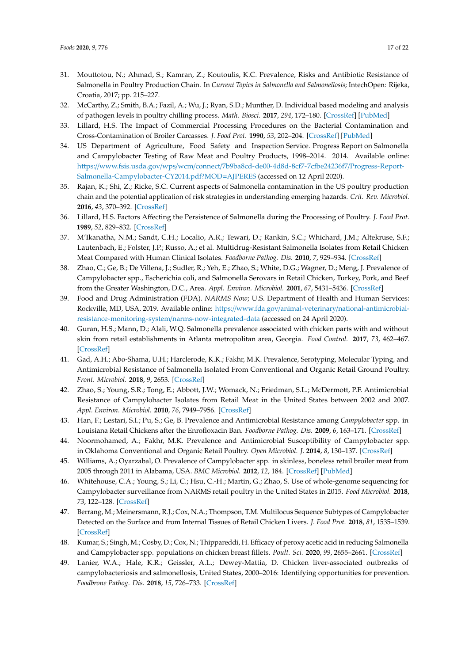- <span id="page-16-0"></span>31. Mouttotou, N.; Ahmad, S.; Kamran, Z.; Koutoulis, K.C. Prevalence, Risks and Antibiotic Resistance of Salmonella in Poultry Production Chain. In *Current Topics in Salmonella and Salmonellosis*; IntechOpen: Rijeka, Croatia, 2017; pp. 215–227.
- <span id="page-16-1"></span>32. McCarthy, Z.; Smith, B.A.; Fazil, A.; Wu, J.; Ryan, S.D.; Munther, D. Individual based modeling and analysis of pathogen levels in poultry chilling process. *Math. Biosci.* **2017**, *294*, 172–180. [\[CrossRef\]](http://dx.doi.org/10.1016/j.mbs.2017.10.010) [\[PubMed\]](http://www.ncbi.nlm.nih.gov/pubmed/29080777)
- <span id="page-16-2"></span>33. Lillard, H.S. The Impact of Commercial Processing Procedures on the Bacterial Contamination and Cross-Contamination of Broiler Carcasses. *J. Food Prot.* **1990**, *53*, 202–204. [\[CrossRef\]](http://dx.doi.org/10.4315/0362-028X-53.3.202) [\[PubMed\]](http://www.ncbi.nlm.nih.gov/pubmed/31018399)
- <span id="page-16-3"></span>34. US Department of Agriculture, Food Safety and Inspection Service. Progress Report on Salmonella and Campylobacter Testing of Raw Meat and Poultry Products, 1998–2014. 2014. Available online: https://www.fsis.usda.gov/wps/wcm/connect/[7b9ba8cd-de00-4d8d-8cf7-7cfbe24236f7](https://www.fsis.usda.gov/wps/wcm/connect/7b9ba8cd-de00-4d8d-8cf7-7cfbe24236f7/Progress-Report-Salmonella-Campylobacter-CY2014.pdf?MOD=AJPERES)/Progress-Report-[Salmonella-Campylobacter-CY2014.pdf?MOD](https://www.fsis.usda.gov/wps/wcm/connect/7b9ba8cd-de00-4d8d-8cf7-7cfbe24236f7/Progress-Report-Salmonella-Campylobacter-CY2014.pdf?MOD=AJPERES)=AJPERES (accessed on 12 April 2020).
- <span id="page-16-4"></span>35. Rajan, K.; Shi, Z.; Ricke, S.C. Current aspects of Salmonella contamination in the US poultry production chain and the potential application of risk strategies in understanding emerging hazards. *Crit. Rev. Microbiol.* **2016**, *43*, 370–392. [\[CrossRef\]](http://dx.doi.org/10.1080/1040841X.2016.1223600)
- <span id="page-16-5"></span>36. Lillard, H.S. Factors Affecting the Persistence of Salmonella during the Processing of Poultry. *J. Food Prot.* **1989**, *52*, 829–832. [\[CrossRef\]](http://dx.doi.org/10.4315/0362-028X-52.11.829)
- <span id="page-16-6"></span>37. M'Ikanatha, N.M.; Sandt, C.H.; Localio, A.R.; Tewari, D.; Rankin, S.C.; Whichard, J.M.; Altekruse, S.F.; Lautenbach, E.; Folster, J.P.; Russo, A.; et al. Multidrug-Resistant Salmonella Isolates from Retail Chicken Meat Compared with Human Clinical Isolates. *Foodborne Pathog. Dis.* **2010**, *7*, 929–934. [\[CrossRef\]](http://dx.doi.org/10.1089/fpd.2009.0499)
- <span id="page-16-7"></span>38. Zhao, C.; Ge, B.; De Villena, J.; Sudler, R.; Yeh, E.; Zhao, S.; White, D.G.; Wagner, D.; Meng, J. Prevalence of Campylobacter spp., Escherichia coli, and Salmonella Serovars in Retail Chicken, Turkey, Pork, and Beef from the Greater Washington, D.C., Area. *Appl. Environ. Microbiol.* **2001**, *67*, 5431–5436. [\[CrossRef\]](http://dx.doi.org/10.1128/AEM.67.12.5431-5436.2001)
- <span id="page-16-8"></span>39. Food and Drug Administration (FDA). *NARMS Now*; U.S. Department of Health and Human Services: Rockville, MD, USA, 2019. Available online: https://www.fda.gov/animal-veterinary/[national-antimicrobial](https://www.fda.gov/animal-veterinary/national-antimicrobial-resistance-monitoring-system/narms-now-integrated-data)[resistance-monitoring-system](https://www.fda.gov/animal-veterinary/national-antimicrobial-resistance-monitoring-system/narms-now-integrated-data)/narms-now-integrated-data (accessed on 24 April 2020).
- <span id="page-16-9"></span>40. Guran, H.S.; Mann, D.; Alali, W.Q. Salmonella prevalence associated with chicken parts with and without skin from retail establishments in Atlanta metropolitan area, Georgia. *Food Control.* **2017**, *73*, 462–467. [\[CrossRef\]](http://dx.doi.org/10.1016/j.foodcont.2016.08.038)
- <span id="page-16-10"></span>41. Gad, A.H.; Abo-Shama, U.H.; Harclerode, K.K.; Fakhr, M.K. Prevalence, Serotyping, Molecular Typing, and Antimicrobial Resistance of Salmonella Isolated From Conventional and Organic Retail Ground Poultry. *Front. Microbiol.* **2018**, *9*, 2653. [\[CrossRef\]](http://dx.doi.org/10.3389/fmicb.2018.02653)
- <span id="page-16-11"></span>42. Zhao, S.; Young, S.R.; Tong, E.; Abbott, J.W.; Womack, N.; Friedman, S.L.; McDermott, P.F. Antimicrobial Resistance of Campylobacter Isolates from Retail Meat in the United States between 2002 and 2007. *Appl. Environ. Microbiol.* **2010**, *76*, 7949–7956. [\[CrossRef\]](http://dx.doi.org/10.1128/AEM.01297-10)
- <span id="page-16-12"></span>43. Han, F.; Lestari, S.I.; Pu, S.; Ge, B. Prevalence and Antimicrobial Resistance among *Campylobacter* spp. in Louisiana Retail Chickens after the Enrofloxacin Ban. *Foodborne Pathog. Dis.* **2009**, *6*, 163–171. [\[CrossRef\]](http://dx.doi.org/10.1089/fpd.2008.0171)
- <span id="page-16-13"></span>44. Noormohamed, A.; Fakhr, M.K. Prevalence and Antimicrobial Susceptibility of Campylobacter spp. in Oklahoma Conventional and Organic Retail Poultry. *Open Microbiol. J.* **2014**, *8*, 130–137. [\[CrossRef\]](http://dx.doi.org/10.2174/1874285801408010130)
- <span id="page-16-14"></span>45. Williams, A.; Oyarzabal, O. Prevalence of Campylobacter spp. in skinless, boneless retail broiler meat from 2005 through 2011 in Alabama, USA. *BMC Microbiol.* **2012**, *12*, 184. [\[CrossRef\]](http://dx.doi.org/10.1186/1471-2180-12-184) [\[PubMed\]](http://www.ncbi.nlm.nih.gov/pubmed/22920043)
- <span id="page-16-15"></span>46. Whitehouse, C.A.; Young, S.; Li, C.; Hsu, C.-H.; Martin, G.; Zhao, S. Use of whole-genome sequencing for Campylobacter surveillance from NARMS retail poultry in the United States in 2015. *Food Microbiol.* **2018**, *73*, 122–128. [\[CrossRef\]](http://dx.doi.org/10.1016/j.fm.2018.01.018)
- <span id="page-16-16"></span>47. Berrang, M.; Meinersmann, R.J.; Cox, N.A.; Thompson, T.M. Multilocus Sequence Subtypes of Campylobacter Detected on the Surface and from Internal Tissues of Retail Chicken Livers. *J. Food Prot.* **2018**, *81*, 1535–1539. [\[CrossRef\]](http://dx.doi.org/10.4315/0362-028X.JFP-18-131)
- <span id="page-16-17"></span>48. Kumar, S.; Singh, M.; Cosby, D.; Cox, N.; Thippareddi, H. Efficacy of peroxy acetic acid in reducing Salmonella and Campylobacter spp. populations on chicken breast fillets. *Poult. Sci.* **2020**, *99*, 2655–2661. [\[CrossRef\]](http://dx.doi.org/10.1016/j.psj.2019.12.045)
- <span id="page-16-18"></span>49. Lanier, W.A.; Hale, K.R.; Geissler, A.L.; Dewey-Mattia, D. Chicken liver-associated outbreaks of campylobacteriosis and salmonellosis, United States, 2000–2016: Identifying opportunities for prevention. *Foodbrone Pathog. Dis.* **2018**, *15*, 726–733. [\[CrossRef\]](http://dx.doi.org/10.1089/fpd.2018.2489)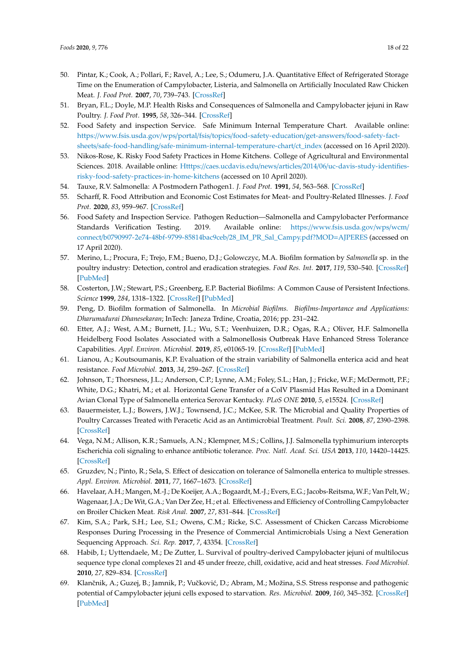- <span id="page-17-0"></span>50. Pintar, K.; Cook, A.; Pollari, F.; Ravel, A.; Lee, S.; Odumeru, J.A. Quantitative Effect of Refrigerated Storage Time on the Enumeration of Campylobacter, Listeria, and Salmonella on Artificially Inoculated Raw Chicken Meat. *J. Food Prot.* **2007**, *70*, 739–743. [\[CrossRef\]](http://dx.doi.org/10.4315/0362-028X-70.3.739)
- <span id="page-17-1"></span>51. Bryan, F.L.; Doyle, M.P. Health Risks and Consequences of Salmonella and Campylobacter jejuni in Raw Poultry. *J. Food Prot.* **1995**, *58*, 326–344. [\[CrossRef\]](http://dx.doi.org/10.4315/0362-028X-58.3.326)
- <span id="page-17-2"></span>52. Food Safety and inspection Service. Safe Minimum Internal Temperature Chart. Available online: https://www.fsis.usda.gov/wps/portal/fsis/topics/[food-safety-education](https://www.fsis.usda.gov/wps/portal/fsis/topics/food-safety-education/get-answers/food-safety-fact-sheets/safe-food-handling/safe-minimum-internal-temperature-chart/ct_index)/get-answers/food-safety-factsheets/safe-food-handling/[safe-minimum-internal-temperature-chart](https://www.fsis.usda.gov/wps/portal/fsis/topics/food-safety-education/get-answers/food-safety-fact-sheets/safe-food-handling/safe-minimum-internal-temperature-chart/ct_index)/ct\_index (accessed on 16 April 2020).
- <span id="page-17-3"></span>53. Nikos-Rose, K. Risky Food Safety Practices in Home Kitchens. College of Agricultural and Environmental Sciences. 2018. Available online: Htttps://caes.ucdavis.edu/news/articles/2014/06/[uc-davis-study-identifies](Htttps://caes.ucdavis.edu/news/articles/2014/06/uc-davis-study-identifies-risky-food-safety-practices-in-home-kitchens)[risky-food-safety-practices-in-home-kitchens](Htttps://caes.ucdavis.edu/news/articles/2014/06/uc-davis-study-identifies-risky-food-safety-practices-in-home-kitchens) (accessed on 10 April 2020).
- <span id="page-17-4"></span>54. Tauxe, R.V. Salmonella: A Postmodern Pathogen1. *J. Food Prot.* **1991**, *54*, 563–568. [\[CrossRef\]](http://dx.doi.org/10.4315/0362-028X-54.7.563)
- <span id="page-17-5"></span>55. Scharff, R. Food Attribution and Economic Cost Estimates for Meat- and Poultry-Related Illnesses. *J. Food Prot.* **2020**, *83*, 959–967. [\[CrossRef\]](http://dx.doi.org/10.4315/JFP-19-548)
- <span id="page-17-6"></span>56. Food Safety and Inspection Service. Pathogen Reduction—Salmonella and Campylobacter Performance Standards Verification Testing. 2019. Available online: https://[www.fsis.usda.gov](https://www.fsis.usda.gov/wps/wcm/connect/b0790997-2e74-48bf-9799-85814bac9ceb/28_IM_PR_Sal_Campy.pdf?MOD=AJPERES)/wps/wcm/ connect/[b0790997-2e74-48bf-9799-85814bac9ceb](https://www.fsis.usda.gov/wps/wcm/connect/b0790997-2e74-48bf-9799-85814bac9ceb/28_IM_PR_Sal_Campy.pdf?MOD=AJPERES)/28\_IM\_PR\_Sal\_Campy.pdf?MOD=AJPERES (accessed on 17 April 2020).
- <span id="page-17-7"></span>57. Merino, L.; Procura, F.; Trejo, F.M.; Bueno, D.J.; Golowczyc, M.A. Biofilm formation by *Salmonella* sp. in the poultry industry: Detection, control and eradication strategies. *Food Res. Int.* **2017**, *119*, 530–540. [\[CrossRef\]](http://dx.doi.org/10.1016/j.foodres.2017.11.024) [\[PubMed\]](http://www.ncbi.nlm.nih.gov/pubmed/30884686)
- <span id="page-17-8"></span>58. Costerton, J.W.; Stewart, P.S.; Greenberg, E.P. Bacterial Biofilms: A Common Cause of Persistent Infections. *Science* **1999**, *284*, 1318–1322. [\[CrossRef\]](http://dx.doi.org/10.1126/science.284.5418.1318) [\[PubMed\]](http://www.ncbi.nlm.nih.gov/pubmed/10334980)
- <span id="page-17-9"></span>59. Peng, D. Biofilm formation of Salmonella. In *Microbial Biofilms. Biofilms-Importance and Applications: Dharumadurai Dhanesekaran*; InTech: Janeza Trdine, Croatia, 2016; pp. 231–242.
- <span id="page-17-10"></span>60. Etter, A.J.; West, A.M.; Burnett, J.L.; Wu, S.T.; Veenhuizen, D.R.; Ogas, R.A.; Oliver, H.F. Salmonella Heidelberg Food Isolates Associated with a Salmonellosis Outbreak Have Enhanced Stress Tolerance Capabilities. *Appl. Environ. Microbiol.* **2019**, *85*, e01065-19. [\[CrossRef\]](http://dx.doi.org/10.1128/AEM.01065-19) [\[PubMed\]](http://www.ncbi.nlm.nih.gov/pubmed/31175193)
- <span id="page-17-11"></span>61. Lianou, A.; Koutsoumanis, K.P. Evaluation of the strain variability of Salmonella enterica acid and heat resistance. *Food Microbiol.* **2013**, *34*, 259–267. [\[CrossRef\]](http://dx.doi.org/10.1016/j.fm.2012.10.009)
- <span id="page-17-12"></span>62. Johnson, T.; Thorsness, J.L.; Anderson, C.P.; Lynne, A.M.; Foley, S.L.; Han, J.; Fricke, W.F.; McDermott, P.F.; White, D.G.; Khatri, M.; et al. Horizontal Gene Transfer of a ColV Plasmid Has Resulted in a Dominant Avian Clonal Type of Salmonella enterica Serovar Kentucky. *PLoS ONE* **2010**, *5*, e15524. [\[CrossRef\]](http://dx.doi.org/10.1371/journal.pone.0015524)
- <span id="page-17-13"></span>63. Bauermeister, L.J.; Bowers, J.W.J.; Townsend, J.C.; McKee, S.R. The Microbial and Quality Properties of Poultry Carcasses Treated with Peracetic Acid as an Antimicrobial Treatment. *Poult. Sci.* **2008**, *87*, 2390–2398. [\[CrossRef\]](http://dx.doi.org/10.3382/ps.2008-00087)
- <span id="page-17-14"></span>64. Vega, N.M.; Allison, K.R.; Samuels, A.N.; Klempner, M.S.; Collins, J.J. Salmonella typhimurium intercepts Escherichia coli signaling to enhance antibiotic tolerance. *Proc. Natl. Acad. Sci. USA* **2013**, *110*, 14420–14425. [\[CrossRef\]](http://dx.doi.org/10.1073/pnas.1308085110)
- <span id="page-17-15"></span>65. Gruzdev, N.; Pinto, R.; Sela, S. Effect of desiccation on tolerance of Salmonella enterica to multiple stresses. *Appl. Environ. Microbiol.* **2011**, *77*, 1667–1673. [\[CrossRef\]](http://dx.doi.org/10.1128/AEM.02156-10)
- <span id="page-17-16"></span>66. Havelaar, A.H.; Mangen, M.-J.; De Koeijer, A.A.; Bogaardt, M.-J.; Evers, E.G.; Jacobs-Reitsma,W.F.; Van Pelt,W.; Wagenaar, J.A.; De Wit, G.A.; Van Der Zee, H.; et al. Effectiveness and Efficiency of Controlling Campylobacter on Broiler Chicken Meat. *Risk Anal.* **2007**, *27*, 831–844. [\[CrossRef\]](http://dx.doi.org/10.1111/j.1539-6924.2007.00926.x)
- <span id="page-17-17"></span>67. Kim, S.A.; Park, S.H.; Lee, S.I.; Owens, C.M.; Ricke, S.C. Assessment of Chicken Carcass Microbiome Responses During Processing in the Presence of Commercial Antimicrobials Using a Next Generation Sequencing Approach. *Sci. Rep.* **2017**, *7*, 43354. [\[CrossRef\]](http://dx.doi.org/10.1038/srep43354)
- <span id="page-17-18"></span>68. Habib, I.; Uyttendaele, M.; De Zutter, L. Survival of poultry-derived Campylobacter jejuni of multilocus sequence type clonal complexes 21 and 45 under freeze, chill, oxidative, acid and heat stresses. *Food Microbiol.* **2010**, *27*, 829–834. [\[CrossRef\]](http://dx.doi.org/10.1016/j.fm.2010.04.009)
- <span id="page-17-19"></span>69. Klančnik, A.; Guzej, B.; Jamnik, P.; Vučković, D.; Abram, M.; Možina, S.S. Stress response and pathogenic potential of Campylobacter jejuni cells exposed to starvation. *Res. Microbiol.* **2009**, *160*, 345–352. [\[CrossRef\]](http://dx.doi.org/10.1016/j.resmic.2009.05.002) [\[PubMed\]](http://www.ncbi.nlm.nih.gov/pubmed/19477271)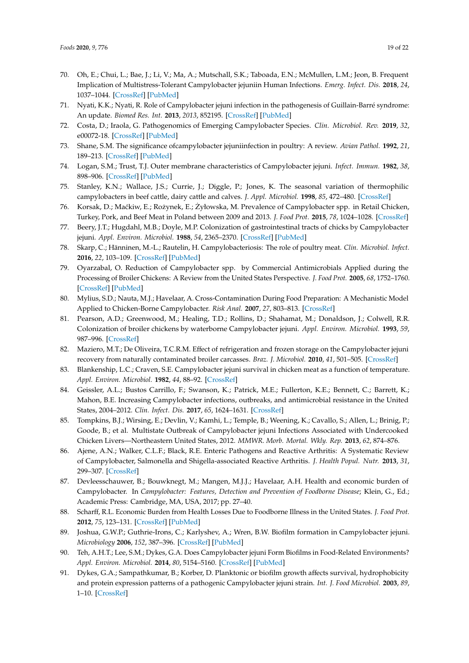- <span id="page-18-0"></span>70. Oh, E.; Chui, L.; Bae, J.; Li, V.; Ma, A.; Mutschall, S.K.; Taboada, E.N.; McMullen, L.M.; Jeon, B. Frequent Implication of Multistress-Tolerant Campylobacter jejuniin Human Infections. *Emerg. Infect. Dis.* **2018**, *24*, 1037–1044. [\[CrossRef\]](http://dx.doi.org/10.3201/eid2406.171587) [\[PubMed\]](http://www.ncbi.nlm.nih.gov/pubmed/29774830)
- <span id="page-18-1"></span>71. Nyati, K.K.; Nyati, R. Role of Campylobacter jejuni infection in the pathogenesis of Guillain-Barré syndrome: An update. *Biomed Res. Int.* **2013**, *2013*, 852195. [\[CrossRef\]](http://dx.doi.org/10.1155/2013/852195) [\[PubMed\]](http://www.ncbi.nlm.nih.gov/pubmed/24000328)
- <span id="page-18-2"></span>72. Costa, D.; Iraola, G. Pathogenomics of Emerging Campylobacter Species. *Clin. Microbiol. Rev.* **2019**, *32*, e00072-18. [\[CrossRef\]](http://dx.doi.org/10.1128/CMR.00072-18) [\[PubMed\]](http://www.ncbi.nlm.nih.gov/pubmed/31270126)
- <span id="page-18-3"></span>73. Shane, S.M. The significance ofcampylobacter jejuniinfection in poultry: A review. *Avian Pathol.* **1992**, *21*, 189–213. [\[CrossRef\]](http://dx.doi.org/10.1080/03079459208418836) [\[PubMed\]](http://www.ncbi.nlm.nih.gov/pubmed/18670933)
- <span id="page-18-4"></span>74. Logan, S.M.; Trust, T.J. Outer membrane characteristics of Campylobacter jejuni. *Infect. Immun.* **1982**, *38*, 898–906. [\[CrossRef\]](http://dx.doi.org/10.1128/IAI.38.3.898-906.1982) [\[PubMed\]](http://www.ncbi.nlm.nih.gov/pubmed/7152677)
- <span id="page-18-5"></span>75. Stanley, K.N.; Wallace, J.S.; Currie, J.; Diggle, P.; Jones, K. The seasonal variation of thermophilic campylobacters in beef cattle, dairy cattle and calves. *J. Appl. Microbiol.* **1998**, *85*, 472–480. [\[CrossRef\]](http://dx.doi.org/10.1046/j.1365-2672.1998.853511.x)
- <span id="page-18-6"></span>76. Korsak, D.; Maćkiw, E.; Rożynek, E.; Żyłowska, M. Prevalence of Campylobacter spp. in Retail Chicken, Turkey, Pork, and Beef Meat in Poland between 2009 and 2013. *J. Food Prot.* **2015**, *78*, 1024–1028. [\[CrossRef\]](http://dx.doi.org/10.4315/0362-028X.JFP-14-353)
- <span id="page-18-7"></span>77. Beery, J.T.; Hugdahl, M.B.; Doyle, M.P. Colonization of gastrointestinal tracts of chicks by Campylobacter jejuni. *Appl. Environ. Microbiol.* **1988**, *54*, 2365–2370. [\[CrossRef\]](http://dx.doi.org/10.1128/AEM.54.10.2365-2370.1988) [\[PubMed\]](http://www.ncbi.nlm.nih.gov/pubmed/3060015)
- <span id="page-18-8"></span>78. Skarp, C.; Hänninen, M.-L.; Rautelin, H. Campylobacteriosis: The role of poultry meat. *Clin. Microbiol. Infect.* **2016**, *22*, 103–109. [\[CrossRef\]](http://dx.doi.org/10.1016/j.cmi.2015.11.019) [\[PubMed\]](http://www.ncbi.nlm.nih.gov/pubmed/26686808)
- <span id="page-18-9"></span>79. Oyarzabal, O. Reduction of Campylobacter spp. by Commercial Antimicrobials Applied during the Processing of Broiler Chickens: A Review from the United States Perspective. *J. Food Prot.* **2005**, *68*, 1752–1760. [\[CrossRef\]](http://dx.doi.org/10.4315/0362-028X-68.8.1752) [\[PubMed\]](http://www.ncbi.nlm.nih.gov/pubmed/21132992)
- <span id="page-18-10"></span>80. Mylius, S.D.; Nauta, M.J.; Havelaar, A. Cross-Contamination During Food Preparation: A Mechanistic Model Applied to Chicken-Borne Campylobacter. *Risk Anal.* **2007**, *27*, 803–813. [\[CrossRef\]](http://dx.doi.org/10.1111/j.1539-6924.2006.00872.x)
- <span id="page-18-11"></span>81. Pearson, A.D.; Greenwood, M.; Healing, T.D.; Rollins, D.; Shahamat, M.; Donaldson, J.; Colwell, R.R. Colonization of broiler chickens by waterborne Campylobacter jejuni. *Appl. Environ. Microbiol.* **1993**, *59*, 987–996. [\[CrossRef\]](http://dx.doi.org/10.1128/AEM.59.4.987-996.1993)
- <span id="page-18-12"></span>82. Maziero, M.T.; De Oliveira, T.C.R.M. Effect of refrigeration and frozen storage on the Campylobacter jejuni recovery from naturally contaminated broiler carcasses. *Braz. J. Microbiol.* **2010**, *41*, 501–505. [\[CrossRef\]](http://dx.doi.org/10.1590/S1517-83822010000200034)
- <span id="page-18-13"></span>83. Blankenship, L.C.; Craven, S.E. Campylobacter jejuni survival in chicken meat as a function of temperature. *Appl. Environ. Microbiol.* **1982**, *44*, 88–92. [\[CrossRef\]](http://dx.doi.org/10.1128/AEM.44.1.88-92.1982)
- <span id="page-18-14"></span>84. Geissler, A.L.; Bustos Carrillo, F.; Swanson, K.; Patrick, M.E.; Fullerton, K.E.; Bennett, C.; Barrett, K.; Mahon, B.E. Increasing Campylobacter infections, outbreaks, and antimicrobial resistance in the United States, 2004–2012. *Clin. Infect. Dis.* **2017**, *65*, 1624–1631. [\[CrossRef\]](http://dx.doi.org/10.1093/cid/cix624)
- <span id="page-18-15"></span>85. Tompkins, B.J.; Wirsing, E.; Devlin, V.; Kamhi, L.; Temple, B.; Weening, K.; Cavallo, S.; Allen, L.; Brinig, P.; Goode, B.; et al. Multistate Outbreak of Campylobacter jejuni Infections Associated with Undercooked Chicken Livers—Northeastern United States, 2012. *MMWR. Morb. Mortal. Wkly. Rep.* **2013**, *62*, 874–876.
- <span id="page-18-16"></span>86. Ajene, A.N.; Walker, C.L.F.; Black, R.E. Enteric Pathogens and Reactive Arthritis: A Systematic Review of Campylobacter, Salmonella and Shigella-associated Reactive Arthritis. *J. Health Popul. Nutr.* **2013**, *31*, 299–307. [\[CrossRef\]](http://dx.doi.org/10.3329/jhpn.v31i3.16515)
- <span id="page-18-17"></span>87. Devleesschauwer, B.; Bouwknegt, M.; Mangen, M.J.J.; Havelaar, A.H. Health and economic burden of Campylobacter. In *Campylobacter: Features, Detection and Prevention of Foodborne Disease*; Klein, G., Ed.; Academic Press: Cambridge, MA, USA, 2017; pp. 27–40.
- <span id="page-18-18"></span>88. Scharff, R.L. Economic Burden from Health Losses Due to Foodborne Illness in the United States. *J. Food Prot.* **2012**, *75*, 123–131. [\[CrossRef\]](http://dx.doi.org/10.4315/0362-028X.JFP-11-058) [\[PubMed\]](http://www.ncbi.nlm.nih.gov/pubmed/22221364)
- <span id="page-18-19"></span>89. Joshua, G.W.P.; Guthrie-Irons, C.; Karlyshev, A.; Wren, B.W. Biofilm formation in Campylobacter jejuni. *Microbiology* **2006**, *152*, 387–396. [\[CrossRef\]](http://dx.doi.org/10.1099/mic.0.28358-0) [\[PubMed\]](http://www.ncbi.nlm.nih.gov/pubmed/16436427)
- <span id="page-18-20"></span>90. Teh, A.H.T.; Lee, S.M.; Dykes, G.A. Does Campylobacter jejuni Form Biofilms in Food-Related Environments? *Appl. Environ. Microbiol.* **2014**, *80*, 5154–5160. [\[CrossRef\]](http://dx.doi.org/10.1128/AEM.01493-14) [\[PubMed\]](http://www.ncbi.nlm.nih.gov/pubmed/24928882)
- <span id="page-18-21"></span>91. Dykes, G.A.; Sampathkumar, B.; Korber, D. Planktonic or biofilm growth affects survival, hydrophobicity and protein expression patterns of a pathogenic Campylobacter jejuni strain. *Int. J. Food Microbiol.* **2003**, *89*, 1–10. [\[CrossRef\]](http://dx.doi.org/10.1016/S0168-1605(03)00123-5)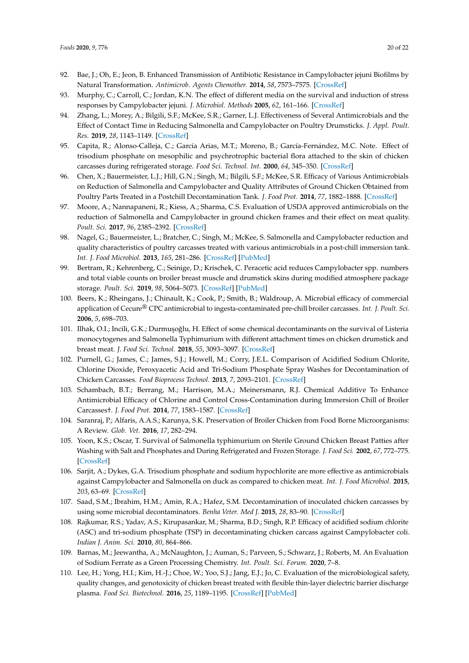- <span id="page-19-0"></span>92. Bae, J.; Oh, E.; Jeon, B. Enhanced Transmission of Antibiotic Resistance in Campylobacter jejuni Biofilms by Natural Transformation. *Antimicrob. Agents Chemother.* **2014**, *58*, 7573–7575. [\[CrossRef\]](http://dx.doi.org/10.1128/AAC.04066-14)
- <span id="page-19-1"></span>93. Murphy, C.; Carroll, C.; Jordan, K.N. The effect of different media on the survival and induction of stress responses by Campylobacter jejuni. *J. Microbiol. Methods* **2005**, *62*, 161–166. [\[CrossRef\]](http://dx.doi.org/10.1016/j.mimet.2005.02.005)
- <span id="page-19-2"></span>94. Zhang, L.; Morey, A.; Bilgili, S.F.; McKee, S.R.; Garner, L.J. Effectiveness of Several Antimicrobials and the Effect of Contact Time in Reducing Salmonella and Campylobacter on Poultry Drumsticks. *J. Appl. Poult. Res.* **2019**, *28*, 1143–1149. [\[CrossRef\]](http://dx.doi.org/10.3382/japr/pfz080)
- <span id="page-19-3"></span>95. Capita, R.; Alonso-Calleja, C.; García Arias, M.T.; Moreno, B.; García-Fernández, M.C. Note. Effect of trisodium phosphate on mesophilic and psychrotrophic bacterial flora attached to the skin of chicken carcasses during refrigerated storage. *Food Sci. Technol. Int.* **2000**, *64*, 345–350. [\[CrossRef\]](http://dx.doi.org/10.1177/108201320000600410)
- <span id="page-19-4"></span>96. Chen, X.; Bauermeister, L.J.; Hill, G.N.; Singh, M.; Bilgili, S.F.; McKee, S.R. Efficacy of Various Antimicrobials on Reduction of Salmonella and Campylobacter and Quality Attributes of Ground Chicken Obtained from Poultry Parts Treated in a Postchill Decontamination Tank. *J. Food Prot.* **2014**, *77*, 1882–1888. [\[CrossRef\]](http://dx.doi.org/10.4315/0362-028X.JFP-14-114)
- <span id="page-19-5"></span>97. Moore, A.; Nannapaneni, R.; Kiess, A.; Sharma, C.S. Evaluation of USDA approved antimicrobials on the reduction of Salmonella and Campylobacter in ground chicken frames and their effect on meat quality. *Poult. Sci.* **2017**, *96*, 2385–2392. [\[CrossRef\]](http://dx.doi.org/10.3382/ps/pew497)
- <span id="page-19-6"></span>98. Nagel, G.; Bauermeister, L.; Bratcher, C.; Singh, M.; McKee, S. Salmonella and Campylobacter reduction and quality characteristics of poultry carcasses treated with various antimicrobials in a post-chill immersion tank. *Int. J. Food Microbiol.* **2013**, *165*, 281–286. [\[CrossRef\]](http://dx.doi.org/10.1016/j.ijfoodmicro.2013.05.016) [\[PubMed\]](http://www.ncbi.nlm.nih.gov/pubmed/23800739)
- <span id="page-19-7"></span>99. Bertram, R.; Kehrenberg, C.; Seinige, D.; Krischek, C. Peracetic acid reduces Campylobacter spp. numbers and total viable counts on broiler breast muscle and drumstick skins during modified atmosphere package storage. *Poult. Sci.* **2019**, *98*, 5064–5073. [\[CrossRef\]](http://dx.doi.org/10.3382/ps/pez266) [\[PubMed\]](http://www.ncbi.nlm.nih.gov/pubmed/31073589)
- <span id="page-19-8"></span>100. Beers, K.; Rheingans, J.; Chinault, K.; Cook, P.; Smith, B.; Waldroup, A. Microbial efficacy of commercial application of Cecure® CPC antimicrobial to ingesta-contaminated pre-chill broiler carcasses. *Int. J. Poult. Sci.* **2006**, *5*, 698–703.
- <span id="page-19-9"></span>101. Ilhak, O.I.; Incili, G.K.; Durmuşoğlu, H. Effect of some chemical decontaminants on the survival of Listeria monocytogenes and Salmonella Typhimurium with different attachment times on chicken drumstick and breast meat. *J. Food Sci. Technol.* **2018**, *55*, 3093–3097. [\[CrossRef\]](http://dx.doi.org/10.1007/s13197-018-3234-7)
- <span id="page-19-10"></span>102. Purnell, G.; James, C.; James, S.J.; Howell, M.; Corry, J.E.L. Comparison of Acidified Sodium Chlorite, Chlorine Dioxide, Peroxyacetic Acid and Tri-Sodium Phosphate Spray Washes for Decontamination of Chicken Carcasses. *Food Bioprocess Technol.* **2013**, *7*, 2093–2101. [\[CrossRef\]](http://dx.doi.org/10.1007/s11947-013-1211-8)
- <span id="page-19-11"></span>103. Schambach, B.T.; Berrang, M.; Harrison, M.A.; Meinersmann, R.J. Chemical Additive To Enhance Antimicrobial Efficacy of Chlorine and Control Cross-Contamination during Immersion Chill of Broiler Carcasses†. *J. Food Prot.* **2014**, *77*, 1583–1587. [\[CrossRef\]](http://dx.doi.org/10.4315/0362-028X.JFP-14-092)
- <span id="page-19-12"></span>104. Saranraj, P.; Alfaris, A.A.S.; Karunya, S.K. Preservation of Broiler Chicken from Food Borne Microorganisms: A Review. *Glob. Vet.* **2016**, *17*, 282–294.
- <span id="page-19-13"></span>105. Yoon, K.S.; Oscar, T. Survival of Salmonella typhimurium on Sterile Ground Chicken Breast Patties after Washing with Salt and Phosphates and During Refrigerated and Frozen Storage. *J. Food Sci.* **2002**, *67*, 772–775. [\[CrossRef\]](http://dx.doi.org/10.1111/j.1365-2621.2002.tb10674.x)
- <span id="page-19-14"></span>106. Sarjit, A.; Dykes, G.A. Trisodium phosphate and sodium hypochlorite are more effective as antimicrobials against Campylobacter and Salmonella on duck as compared to chicken meat. *Int. J. Food Microbiol.* **2015**, *203*, 63–69. [\[CrossRef\]](http://dx.doi.org/10.1016/j.ijfoodmicro.2015.02.026)
- <span id="page-19-15"></span>107. Saad, S.M.; Ibrahim, H.M.; Amin, R.A.; Hafez, S.M. Decontamination of inoculated chicken carcasses by using some microbial decontaminators. *Benha Veter. Med J.* **2015**, *28*, 83–90. [\[CrossRef\]](http://dx.doi.org/10.21608/bvmj.2015.31871)
- <span id="page-19-16"></span>108. Rajkumar, R.S.; Yadav, A.S.; Kirupasankar, M.; Sharma, B.D.; Singh, R.P. Efficacy of acidified sodium chlorite (ASC) and tri-sodium phosphate (TSP) in decontaminating chicken carcass against Campylobacter coli. *Indian J. Anim. Sci.* **2010**, *80*, 864–866.
- <span id="page-19-17"></span>109. Barnas, M.; Jeewantha, A.; McNaughton, J.; Auman, S.; Parveen, S.; Schwarz, J.; Roberts, M. An Evaluation of Sodium Ferrate as a Green Processing Chemistry. *Int. Poult. Sci. Forum.* **2020**, 7–8.
- <span id="page-19-18"></span>110. Lee, H.; Yong, H.I.; Kim, H.-J.; Choe, W.; Yoo, S.J.; Jang, E.J.; Jo, C. Evaluation of the microbiological safety, quality changes, and genotoxicity of chicken breast treated with flexible thin-layer dielectric barrier discharge plasma. *Food Sci. Biotechnol.* **2016**, *25*, 1189–1195. [\[CrossRef\]](http://dx.doi.org/10.1007/s10068-016-0189-1) [\[PubMed\]](http://www.ncbi.nlm.nih.gov/pubmed/30263393)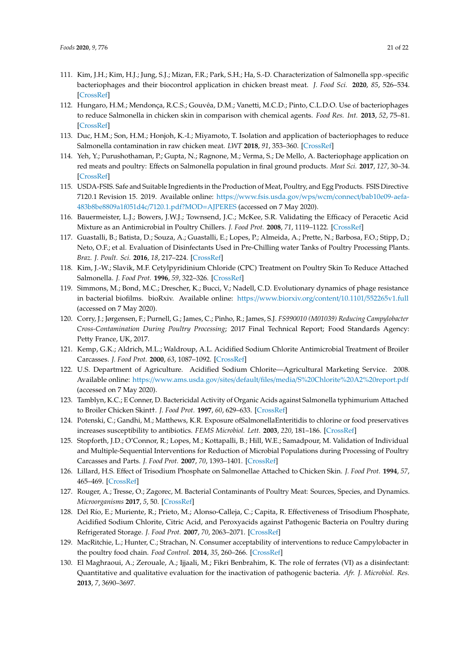- <span id="page-20-0"></span>111. Kim, J.H.; Kim, H.J.; Jung, S.J.; Mizan, F.R.; Park, S.H.; Ha, S.-D. Characterization of Salmonella spp.-specific bacteriophages and their biocontrol application in chicken breast meat. *J. Food Sci.* **2020**, *85*, 526–534. [\[CrossRef\]](http://dx.doi.org/10.1111/1750-3841.15042)
- <span id="page-20-1"></span>112. Hungaro, H.M.; Mendonça, R.C.S.; Gouvêa, D.M.; Vanetti, M.C.D.; Pinto, C.L.D.O. Use of bacteriophages to reduce Salmonella in chicken skin in comparison with chemical agents. *Food Res. Int.* **2013**, *52*, 75–81. [\[CrossRef\]](http://dx.doi.org/10.1016/j.foodres.2013.02.032)
- <span id="page-20-2"></span>113. Duc, H.M.; Son, H.M.; Honjoh, K.-I.; Miyamoto, T. Isolation and application of bacteriophages to reduce Salmonella contamination in raw chicken meat. *LWT* **2018**, *91*, 353–360. [\[CrossRef\]](http://dx.doi.org/10.1016/j.lwt.2018.01.072)
- <span id="page-20-3"></span>114. Yeh, Y.; Purushothaman, P.; Gupta, N.; Ragnone, M.; Verma, S.; De Mello, A. Bacteriophage application on red meats and poultry: Effects on Salmonella population in final ground products. *Meat Sci.* **2017**, *127*, 30–34. [\[CrossRef\]](http://dx.doi.org/10.1016/j.meatsci.2017.01.001)
- <span id="page-20-4"></span>115. USDA-FSIS. Safe and Suitable Ingredients in the Production of Meat, Poultry, and Egg Products. FSIS Directive 7120.1 Revision 15. 2019. Available online: https://[www.fsis.usda.gov](https://www.fsis.usda.gov/wps/wcm/connect/bab10e09-aefa-483b8be8809a1f051d4c/7120.1.pdf?MOD=AJPERES)/wps/wcm/connect/bab10e09-aefa-[483b8be8809a1f051d4c](https://www.fsis.usda.gov/wps/wcm/connect/bab10e09-aefa-483b8be8809a1f051d4c/7120.1.pdf?MOD=AJPERES)/7120.1.pdf?MOD=AJPERES (accessed on 7 May 2020).
- <span id="page-20-5"></span>116. Bauermeister, L.J.; Bowers, J.W.J.; Townsend, J.C.; McKee, S.R. Validating the Efficacy of Peracetic Acid Mixture as an Antimicrobial in Poultry Chillers. *J. Food Prot.* **2008**, *71*, 1119–1122. [\[CrossRef\]](http://dx.doi.org/10.4315/0362-028X-71.6.1119)
- <span id="page-20-6"></span>117. Guastalli, B.; Batista, D.; Souza, A.; Guastalli, E.; Lopes, P.; Almeida, A.; Prette, N.; Barbosa, F.O.; Stipp, D.; Neto, O.F.; et al. Evaluation of Disinfectants Used in Pre-Chilling water Tanks of Poultry Processing Plants. *Braz. J. Poult. Sci.* **2016**, *18*, 217–224. [\[CrossRef\]](http://dx.doi.org/10.1590/1806-9061-2015-0110)
- <span id="page-20-7"></span>118. Kim, J.-W.; Slavik, M.F. Cetylpyridinium Chloride (CPC) Treatment on Poultry Skin To Reduce Attached Salmonella. *J. Food Prot.* **1996**, *59*, 322–326. [\[CrossRef\]](http://dx.doi.org/10.4315/0362-028X-59.3.322)
- <span id="page-20-8"></span>119. Simmons, M.; Bond, M.C.; Drescher, K.; Bucci, V.; Nadell, C.D. Evolutionary dynamics of phage resistance in bacterial biofilms. bioRxiv. Available online: https://[www.biorxiv.org](https://www.biorxiv.org/content/10.1101/552265v1.full)/content/10.1101/552265v1.full (accessed on 7 May 2020).
- <span id="page-20-9"></span>120. Corry, J.; Jørgensen, F.; Purnell, G.; James, C.; Pinho, R.; James, S.J. *FS990010 (M01039) Reducing Campylobacter Cross-Contamination During Poultry Processing*; 2017 Final Technical Report; Food Standards Agency: Petty France, UK, 2017.
- <span id="page-20-10"></span>121. Kemp, G.K.; Aldrich, M.L.; Waldroup, A.L. Acidified Sodium Chlorite Antimicrobial Treatment of Broiler Carcasses. *J. Food Prot.* **2000**, *63*, 1087–1092. [\[CrossRef\]](http://dx.doi.org/10.4315/0362-028X-63.8.1087)
- <span id="page-20-11"></span>122. U.S. Department of Agriculture. Acidified Sodium Chlorite—Agricultural Marketing Service. 2008. Available online: https://www.ams.usda.gov/sites/default/files/media/[S%20Chlorite%20A2%20report.pdf](https://www.ams.usda.gov/sites/default/files/media/S%20Chlorite%20A2%20report.pdf) (accessed on 7 May 2020).
- <span id="page-20-12"></span>123. Tamblyn, K.C.; E Conner, D. Bactericidal Activity of Organic Acids against Salmonella typhimurium Attached to Broiler Chicken Skint†. *J. Food Prot.* **1997**, *60*, 629–633. [\[CrossRef\]](http://dx.doi.org/10.4315/0362-028X-60.6.629)
- <span id="page-20-13"></span>124. Potenski, C.; Gandhi, M.; Matthews, K.R. Exposure ofSalmonellaEnteritidis to chlorine or food preservatives increases susceptibility to antibiotics. *FEMS Microbiol. Lett.* **2003**, *220*, 181–186. [\[CrossRef\]](http://dx.doi.org/10.1016/S0378-1097(03)00099-5)
- <span id="page-20-14"></span>125. Stopforth, J.D.; O'Connor, R.; Lopes, M.; Kottapalli, B.; Hill, W.E.; Samadpour, M. Validation of Individual and Multiple-Sequential Interventions for Reduction of Microbial Populations during Processing of Poultry Carcasses and Parts. *J. Food Prot.* **2007**, *70*, 1393–1401. [\[CrossRef\]](http://dx.doi.org/10.4315/0362-028X-70.6.1393)
- <span id="page-20-15"></span>126. Lillard, H.S. Effect of Trisodium Phosphate on Salmonellae Attached to Chicken Skin. *J. Food Prot.* **1994**, *57*, 465–469. [\[CrossRef\]](http://dx.doi.org/10.4315/0362-028X-57.6.465)
- <span id="page-20-16"></span>127. Rouger, A.; Tresse, O.; Zagorec, M. Bacterial Contaminants of Poultry Meat: Sources, Species, and Dynamics. *Microorganisms* **2017**, *5*, 50. [\[CrossRef\]](http://dx.doi.org/10.3390/microorganisms5030050)
- <span id="page-20-17"></span>128. Del Río, E.; Muriente, R.; Prieto, M.; Alonso-Calleja, C.; Capita, R. Effectiveness of Trisodium Phosphate, Acidified Sodium Chlorite, Citric Acid, and Peroxyacids against Pathogenic Bacteria on Poultry during Refrigerated Storage. *J. Food Prot.* **2007**, *70*, 2063–2071. [\[CrossRef\]](http://dx.doi.org/10.4315/0362-028X-70.9.2063)
- <span id="page-20-18"></span>129. MacRitchie, L.; Hunter, C.; Strachan, N. Consumer acceptability of interventions to reduce Campylobacter in the poultry food chain. *Food Control.* **2014**, *35*, 260–266. [\[CrossRef\]](http://dx.doi.org/10.1016/j.foodcont.2013.06.005)
- <span id="page-20-19"></span>130. El Maghraoui, A.; Zerouale, A.; Ijjaali, M.; Fikri Benbrahim, K. The role of ferrates (VI) as a disinfectant: Quantitative and qualitative evaluation for the inactivation of pathogenic bacteria. *Afr. J. Microbiol. Res.* **2013**, *7*, 3690–3697.